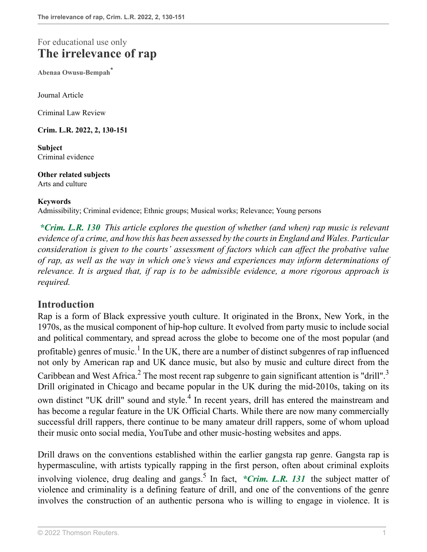# For educational use only **The irrelevance of rap**

**Abenaa Owusu-Bempah\***

Journal Article

[Criminal Law Review](http://uk.westlaw.com/WestlawUk/Journals/Publications/Criminal-Law-Review?contextData=(sc.Search))

**Crim. L.R. 2022, 2, 130-151**

**Subject** Criminal evidence

**Other related subjects** Arts and culture

#### **Keywords**

Admissibility; Criminal evidence; Ethnic groups; Musical works; Relevance; Young persons

*\*Crim. L.R. 130 This article explores the question of whether (and when) rap music is relevant evidence of a crime, and how this has been assessed by the courts in England and Wales. Particular consideration is given to the courts' assessment of factors which can affect the probative value of rap, as well as the way in which one's views and experiences may inform determinations of relevance. It is argued that, if rap is to be admissible evidence, a more rigorous approach is required.*

### **Introduction**

<span id="page-0-2"></span><span id="page-0-1"></span><span id="page-0-0"></span>Rap is a form of Black expressive youth culture. It originated in the Bronx, New York, in the 1970s, as the musical component of hip-hop culture. It evolved from party music to include social and political commentary, and spread across the globe to become one of the most popular (and profitable) genres of music.<sup>[1](#page-18-0)</sup> In the UK, there are a number of distinct subgenres of rap influenced not only by American rap and UK dance music, but also by music and culture direct from the Caribbean and West Africa.<sup>[2](#page-19-0)</sup> The most recent rap subgenre to gain significant attention is "drill".<sup>[3](#page-19-1)</sup> Drill originated in Chicago and became popular in the UK during the mid-2010s, taking on its own distinct "UK drill" sound and style.<sup>[4](#page-19-2)</sup> In recent years, drill has entered the mainstream and has become a regular feature in the UK Official Charts. While there are now many commercially successful drill rappers, there continue to be many amateur drill rappers, some of whom upload their music onto social media, YouTube and other music-hosting websites and apps.

<span id="page-0-4"></span><span id="page-0-3"></span>Drill draws on the conventions established within the earlier gangsta rap genre. Gangsta rap is hypermasculine, with artists typically rapping in the first person, often about criminal exploits involving violence, drug dealing and gangs.<sup>[5](#page-19-3)</sup> In fact, *\*Crim. L.R. 131* the subject matter of violence and criminality is a defining feature of drill, and one of the conventions of the genre involves the construction of an authentic persona who is willing to engage in violence. It is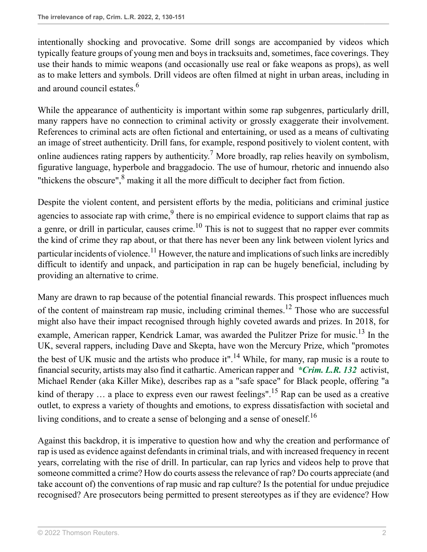intentionally shocking and provocative. Some drill songs are accompanied by videos which typically feature groups of young men and boys in tracksuits and, sometimes, face coverings. They use their hands to mimic weapons (and occasionally use real or fake weapons as props), as well as to make letters and symbols. Drill videos are often filmed at night in urban areas, including in and around council estates.<sup>[6](#page-19-4)</sup>

<span id="page-1-1"></span><span id="page-1-0"></span>While the appearance of authenticity is important within some rap subgenres, particularly drill, many rappers have no connection to criminal activity or grossly exaggerate their involvement. References to criminal acts are often fictional and entertaining, or used as a means of cultivating an image of street authenticity. Drill fans, for example, respond positively to violent content, with online audiences rating rappers by authenticity.<sup>[7](#page-19-5)</sup> More broadly, rap relies heavily on symbolism, figurative language, hyperbole and braggadocio. The use of humour, rhetoric and innuendo also "thickens the obscure",<sup>[8](#page-19-6)</sup> making it all the more difficult to decipher fact from fiction.

<span id="page-1-5"></span><span id="page-1-4"></span><span id="page-1-3"></span><span id="page-1-2"></span>Despite the violent content, and persistent efforts by the media, politicians and criminal justice agencies to associate rap with crime,  $9$  there is no empirical evidence to support claims that rap as a genre, or drill in particular, causes crime.<sup>[10](#page-20-0)</sup> This is not to suggest that no rapper ever commits the kind of crime they rap about, or that there has never been any link between violent lyrics and particular incidents of violence.<sup>[11](#page-20-1)</sup> However, the nature and implications of such links are incredibly difficult to identify and unpack, and participation in rap can be hugely beneficial, including by providing an alternative to crime.

<span id="page-1-8"></span><span id="page-1-7"></span><span id="page-1-6"></span>Many are drawn to rap because of the potential financial rewards. This prospect influences much of the content of mainstream rap music, including criminal themes.<sup>[12](#page-20-2)</sup> Those who are successful might also have their impact recognised through highly coveted awards and prizes. In 2018, for example, American rapper, Kendrick Lamar, was awarded the Pulitzer Prize for music.<sup>[13](#page-20-3)</sup> In the UK, several rappers, including Dave and Skepta, have won the Mercury Prize, which "promotes the best of UK music and the artists who produce it".<sup>[14](#page-20-4)</sup> While, for many, rap music is a route to financial security, artists may also find it cathartic. American rapper and *\*Crim. L.R. 132* activist, Michael Render (aka Killer Mike), describes rap as a "safe space" for Black people, offering "a kind of therapy  $\ldots$  a place to express even our rawest feelings".<sup>[15](#page-20-5)</sup> Rap can be used as a creative outlet, to express a variety of thoughts and emotions, to express dissatisfaction with societal and living conditions, and to create a sense of belonging and a sense of oneself.<sup>[16](#page-20-6)</sup>

<span id="page-1-10"></span><span id="page-1-9"></span>Against this backdrop, it is imperative to question how and why the creation and performance of rap is used as evidence against defendants in criminal trials, and with increased frequency in recent years, correlating with the rise of drill. In particular, can rap lyrics and videos help to prove that someone committed a crime? How do courts assess the relevance of rap? Do courts appreciate (and take account of) the conventions of rap music and rap culture? Is the potential for undue prejudice recognised? Are prosecutors being permitted to present stereotypes as if they are evidence? How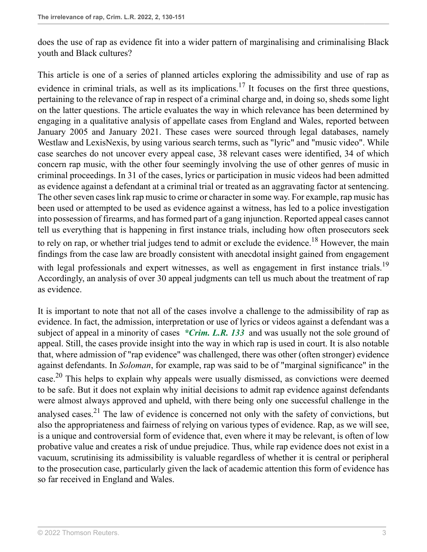does the use of rap as evidence fit into a wider pattern of marginalising and criminalising Black youth and Black cultures?

<span id="page-2-0"></span>This article is one of a series of planned articles exploring the admissibility and use of rap as evidence in criminal trials, as well as its implications.<sup>[17](#page-20-7)</sup> It focuses on the first three questions, pertaining to the relevance of rap in respect of a criminal charge and, in doing so, sheds some light on the latter questions. The article evaluates the way in which relevance has been determined by engaging in a qualitative analysis of appellate cases from England and Wales, reported between January 2005 and January 2021. These cases were sourced through legal databases, namely Westlaw and LexisNexis, by using various search terms, such as "lyric" and "music video". While case searches do not uncover every appeal case, 38 relevant cases were identified, 34 of which concern rap music, with the other four seemingly involving the use of other genres of music in criminal proceedings. In 31 of the cases, lyrics or participation in music videos had been admitted as evidence against a defendant at a criminal trial or treated as an aggravating factor at sentencing. The other seven cases link rap music to crime or character in some way. For example, rap music has been used or attempted to be used as evidence against a witness, has led to a police investigation into possession of firearms, and has formed part of a gang injunction. Reported appeal cases cannot tell us everything that is happening in first instance trials, including how often prosecutors seek to rely on rap, or whether trial judges tend to admit or exclude the evidence.<sup>[18](#page-20-8)</sup> However, the main findings from the case law are broadly consistent with anecdotal insight gained from engagement with legal professionals and expert witnesses, as well as engagement in first instance trials.<sup>[19](#page-20-9)</sup> Accordingly, an analysis of over 30 appeal judgments can tell us much about the treatment of rap as evidence.

<span id="page-2-4"></span><span id="page-2-3"></span><span id="page-2-2"></span><span id="page-2-1"></span>It is important to note that not all of the cases involve a challenge to the admissibility of rap as evidence. In fact, the admission, interpretation or use of lyrics or videos against a defendant was a subject of appeal in a minority of cases *\*Crim. L.R. 133* and was usually not the sole ground of appeal. Still, the cases provide insight into the way in which rap is used in court. It is also notable that, where admission of "rap evidence" was challenged, there was other (often stronger) evidence against defendants. In *[Soloman](http://uk.westlaw.com/Document/I98132520B44711E9A7E8A12838A9008F/View/FullText.html?originationContext=document&transitionType=DocumentItem&vr=3.0&rs=PLUK1.0&contextData=(sc.Search))*, for example, rap was said to be of "marginal significance" in the case.[20](#page-21-0) This helps to explain why appeals were usually dismissed, as convictions were deemed to be safe. But it does not explain why initial decisions to admit rap evidence against defendants were almost always approved and upheld, with there being only one successful challenge in the analysed cases.<sup>[21](#page-21-1)</sup> The law of evidence is concerned not only with the safety of convictions, but also the appropriateness and fairness of relying on various types of evidence. Rap, as we will see, is a unique and controversial form of evidence that, even where it may be relevant, is often of low probative value and creates a risk of undue prejudice. Thus, while rap evidence does not exist in a vacuum, scrutinising its admissibility is valuable regardless of whether it is central or peripheral to the prosecution case, particularly given the lack of academic attention this form of evidence has so far received in England and Wales.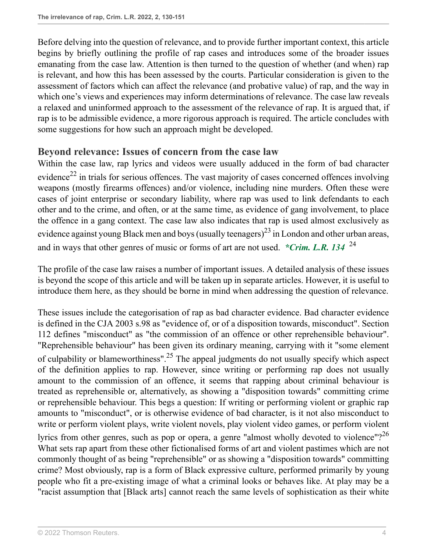Before delving into the question of relevance, and to provide further important context, this article begins by briefly outlining the profile of rap cases and introduces some of the broader issues emanating from the case law. Attention is then turned to the question of whether (and when) rap is relevant, and how this has been assessed by the courts. Particular consideration is given to the assessment of factors which can affect the relevance (and probative value) of rap, and the way in which one's views and experiences may inform determinations of relevance. The case law reveals a relaxed and uninformed approach to the assessment of the relevance of rap. It is argued that, if rap is to be admissible evidence, a more rigorous approach is required. The article concludes with some suggestions for how such an approach might be developed.

### **Beyond relevance: Issues of concern from the case law**

<span id="page-3-0"></span>Within the case law, rap lyrics and videos were usually adduced in the form of bad character evidence<sup>[22](#page-21-2)</sup> in trials for serious offences. The vast majority of cases concerned offences involving weapons (mostly firearms offences) and/or violence, including nine murders. Often these were cases of joint enterprise or secondary liability, where rap was used to link defendants to each other and to the crime, and often, or at the same time, as evidence of gang involvement, to place the offence in a gang context. The case law also indicates that rap is used almost exclusively as evidence against young Black men and boys (usually teenagers)<sup>[23](#page-21-3)</sup> in London and other urban areas, and in ways that other genres of music or forms of art are not used. *\*Crim. L.R. 134* [24](#page-21-4)

<span id="page-3-2"></span><span id="page-3-1"></span>The profile of the case law raises a number of important issues. A detailed analysis of these issues is beyond the scope of this article and will be taken up in separate articles. However, it is useful to introduce them here, as they should be borne in mind when addressing the question of relevance.

<span id="page-3-3"></span>These issues include the categorisation of rap as bad character evidence. Bad character evidence is defined in the [CJA 2003 s.98](http://uk.westlaw.com/Document/ID7128FA0E45211DA8D70A0E70A78ED65/View/FullText.html?originationContext=document&transitionType=DocumentItem&vr=3.0&rs=PLUK1.0&contextData=(sc.Search)) as "evidence of, or of a disposition towards, misconduct". [Section](http://uk.westlaw.com/Document/I0E6354E0E44811DA8D70A0E70A78ED65/View/FullText.html?originationContext=document&transitionType=DocumentItem&vr=3.0&rs=PLUK1.0&contextData=(sc.Search)) [112](http://uk.westlaw.com/Document/I0E6354E0E44811DA8D70A0E70A78ED65/View/FullText.html?originationContext=document&transitionType=DocumentItem&vr=3.0&rs=PLUK1.0&contextData=(sc.Search)) defines "misconduct" as "the commission of an offence or other reprehensible behaviour". "Reprehensible behaviour" has been given its ordinary meaning, carrying with it "some element of culpability or blameworthiness".<sup>[25](#page-22-0)</sup> The appeal judgments do not usually specify which aspect of the definition applies to rap. However, since writing or performing rap does not usually amount to the commission of an offence, it seems that rapping about criminal behaviour is treated as reprehensible or, alternatively, as showing a "disposition towards" committing crime or reprehensible behaviour. This begs a question: If writing or performing violent or graphic rap amounts to "misconduct", or is otherwise evidence of bad character, is it not also misconduct to write or perform violent plays, write violent novels, play violent video games, or perform violent

<span id="page-3-4"></span>lyrics from other genres, such as pop or opera, a genre "almost wholly devoted to violence"?<sup>[26](#page-22-1)</sup> What sets rap apart from these other fictionalised forms of art and violent pastimes which are not commonly thought of as being "reprehensible" or as showing a "disposition towards" committing crime? Most obviously, rap is a form of Black expressive culture, performed primarily by young people who fit a pre-existing image of what a criminal looks or behaves like. At play may be a "racist assumption that [Black arts] cannot reach the same levels of sophistication as their white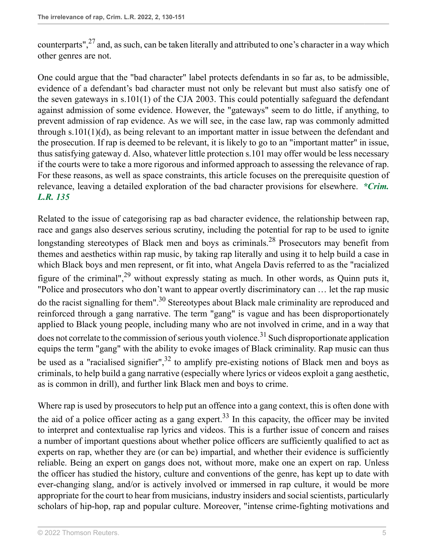<span id="page-4-0"></span>counterparts", $27$  and, as such, can be taken literally and attributed to one's character in a way which other genres are not.

One could argue that the "bad character" label protects defendants in so far as, to be admissible, evidence of a defendant's bad character must not only be relevant but must also satisfy one of the seven gateways in [s.101\(1\) of the CJA 2003.](http://uk.westlaw.com/Document/ID7143D50E45211DA8D70A0E70A78ED65/View/FullText.html?originationContext=document&transitionType=DocumentItem&vr=3.0&rs=PLUK1.0&contextData=(sc.Search)) This could potentially safeguard the defendant against admission of some evidence. However, the "gateways" seem to do little, if anything, to prevent admission of rap evidence. As we will see, in the case law, rap was commonly admitted through [s.101\(1\)\(d\)](http://uk.westlaw.com/Document/ID7143D50E45211DA8D70A0E70A78ED65/View/FullText.html?originationContext=document&transitionType=DocumentItem&vr=3.0&rs=PLUK1.0&contextData=(sc.Search)), as being relevant to an important matter in issue between the defendant and the prosecution. If rap is deemed to be relevant, it is likely to go to an "important matter" in issue, thus satisfying gateway d. Also, whatever little protection [s.101](http://uk.westlaw.com/Document/ID7143D50E45211DA8D70A0E70A78ED65/View/FullText.html?originationContext=document&transitionType=DocumentItem&vr=3.0&rs=PLUK1.0&contextData=(sc.Search)) may offer would be less necessary if the courts were to take a more rigorous and informed approach to assessing the relevance of rap. For these reasons, as well as space constraints, this article focuses on the prerequisite question of relevance, leaving a detailed exploration of the bad character provisions for elsewhere. *\*Crim. L.R. 135*

<span id="page-4-3"></span><span id="page-4-2"></span><span id="page-4-1"></span>Related to the issue of categorising rap as bad character evidence, the relationship between rap, race and gangs also deserves serious scrutiny, including the potential for rap to be used to ignite longstanding stereotypes of Black men and boys as criminals.<sup>[28](#page-22-3)</sup> Prosecutors may benefit from themes and aesthetics within rap music, by taking rap literally and using it to help build a case in which Black boys and men represent, or fit into, what Angela Davis referred to as the "racialized figure of the criminal", $^{29}$  $^{29}$  $^{29}$  without expressly stating as much. In other words, as Quinn puts it, "Police and prosecutors who don't want to appear overtly discriminatory can … let the rap music do the racist signalling for them".[30](#page-22-5) Stereotypes about Black male criminality are reproduced and reinforced through a gang narrative. The term "gang" is vague and has been disproportionately applied to Black young people, including many who are not involved in crime, and in a way that does not correlate to the commission of serious youth violence.<sup>[31](#page-22-6)</sup> Such disproportionate application equips the term "gang" with the ability to evoke images of Black criminality. Rap music can thus be used as a "racialised signifier",  $32$  to amplify pre-existing notions of Black men and boys as criminals, to help build a gang narrative (especially where lyrics or videos exploit a gang aesthetic, as is common in drill), and further link Black men and boys to crime.

<span id="page-4-6"></span><span id="page-4-5"></span><span id="page-4-4"></span>Where rap is used by prosecutors to help put an offence into a gang context, this is often done with the aid of a police officer acting as a gang expert.<sup>[33](#page-23-0)</sup> In this capacity, the officer may be invited to interpret and contextualise rap lyrics and videos. This is a further issue of concern and raises a number of important questions about whether police officers are sufficiently qualified to act as experts on rap, whether they are (or can be) impartial, and whether their evidence is sufficiently reliable. Being an expert on gangs does not, without more, make one an expert on rap. Unless the officer has studied the history, culture and conventions of the genre, has kept up to date with ever-changing slang, and/or is actively involved or immersed in rap culture, it would be more appropriate for the court to hear from musicians, industry insiders and social scientists, particularly scholars of hip-hop, rap and popular culture. Moreover, "intense crime-fighting motivations and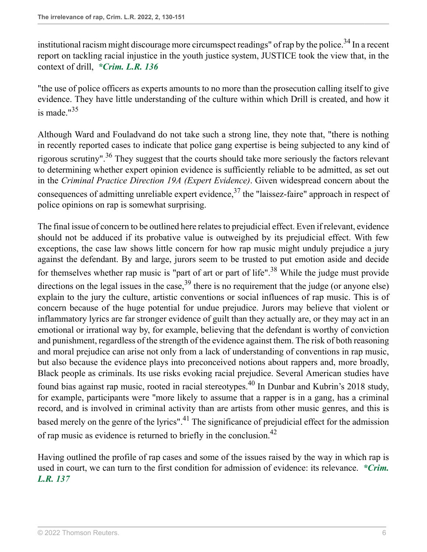<span id="page-5-0"></span>institutional racism might discourage more circumspect readings" of rap by the police.<sup>[34](#page-23-1)</sup> In a recent report on tackling racial injustice in the youth justice system, JUSTICE took the view that, in the context of drill, *\*Crim. L.R. 136*

<span id="page-5-1"></span>"the use of police officers as experts amounts to no more than the prosecution calling itself to give evidence. They have little understanding of the culture within which Drill is created, and how it is made. $135$  $135$ 

<span id="page-5-2"></span>Although Ward and Fouladvand do not take such a strong line, they note that, "there is nothing in recently reported cases to indicate that police gang expertise is being subjected to any kind of rigorous scrutiny".[36](#page-23-3) They suggest that the courts should take more seriously the factors relevant to determining whether expert opinion evidence is sufficiently reliable to be admitted, as set out in the *[Criminal Practice Direction 19A \(Expert Evidence\)](http://uk.westlaw.com/Document/I713346F0676211E5A9C9EE4437CFC9EC/View/FullText.html?originationContext=document&transitionType=DocumentItem&vr=3.0&rs=PLUK1.0&contextData=(sc.Search))*. Given widespread concern about the consequences of admitting unreliable expert evidence,  $3^7$  the "laissez-faire" approach in respect of police opinions on rap is somewhat surprising.

<span id="page-5-5"></span><span id="page-5-4"></span><span id="page-5-3"></span>The final issue of concern to be outlined here relates to prejudicial effect. Even if relevant, evidence should not be adduced if its probative value is outweighed by its prejudicial effect. With few exceptions, the case law shows little concern for how rap music might unduly prejudice a jury against the defendant. By and large, jurors seem to be trusted to put emotion aside and decide for themselves whether rap music is "part of art or part of life".<sup>[38](#page-23-5)</sup> While the judge must provide directions on the legal issues in the case,  $39$  there is no requirement that the judge (or anyone else) explain to the jury the culture, artistic conventions or social influences of rap music. This is of concern because of the huge potential for undue prejudice. Jurors may believe that violent or inflammatory lyrics are far stronger evidence of guilt than they actually are, or they may act in an emotional or irrational way by, for example, believing that the defendant is worthy of conviction and punishment, regardless of the strength of the evidence against them. The risk of both reasoning and moral prejudice can arise not only from a lack of understanding of conventions in rap music, but also because the evidence plays into preconceived notions about rappers and, more broadly, Black people as criminals. Its use risks evoking racial prejudice. Several American studies have found bias against rap music, rooted in racial stereotypes.[40](#page-23-7) In Dunbar and Kubrin's 2018 study, for example, participants were "more likely to assume that a rapper is in a gang, has a criminal record, and is involved in criminal activity than are artists from other music genres, and this is based merely on the genre of the lyrics".[41](#page-23-8) The significance of prejudicial effect for the admission of rap music as evidence is returned to briefly in the conclusion.[42](#page-23-9)

<span id="page-5-8"></span><span id="page-5-7"></span><span id="page-5-6"></span>Having outlined the profile of rap cases and some of the issues raised by the way in which rap is used in court, we can turn to the first condition for admission of evidence: its relevance. *\*Crim. L.R. 137*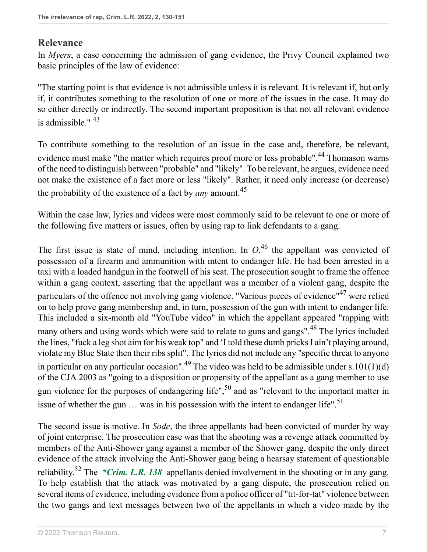## **Relevance**

In *[Myers](http://uk.westlaw.com/Document/I0559FB706C1E11E5A2428B3467E03F52/View/FullText.html?originationContext=document&transitionType=DocumentItem&vr=3.0&rs=PLUK1.0&contextData=(sc.Search))*, a case concerning the admission of gang evidence, the Privy Council explained two basic principles of the law of evidence:

"The starting point is that evidence is not admissible unless it is relevant. It is relevant if, but only if, it contributes something to the resolution of one or more of the issues in the case. It may do so either directly or indirectly. The second important proposition is that not all relevant evidence is admissible."  $43$ 

<span id="page-6-1"></span><span id="page-6-0"></span>To contribute something to the resolution of an issue in the case and, therefore, be relevant, evidence must make "the matter which requires proof more or less probable".<sup>[44](#page-23-11)</sup> Thomason warns of the need to distinguish between "probable" and "likely". To be relevant, he argues, evidence need not make the existence of a fact more or less "likely". Rather, it need only increase (or decrease) the probability of the existence of a fact by *any* amount.[45](#page-23-12)

<span id="page-6-2"></span>Within the case law, lyrics and videos were most commonly said to be relevant to one or more of the following five matters or issues, often by using rap to link defendants to a gang.

<span id="page-6-5"></span><span id="page-6-4"></span><span id="page-6-3"></span>The first issue is state of mind, including intention. In  $O<sub>1</sub><sup>46</sup>$  $O<sub>1</sub><sup>46</sup>$  $O<sub>1</sub><sup>46</sup>$  $O<sub>1</sub><sup>46</sup>$  the appellant was convicted of possession of a firearm and ammunition with intent to endanger life. He had been arrested in a taxi with a loaded handgun in the footwell of his seat. The prosecution sought to frame the offence within a gang context, asserting that the appellant was a member of a violent gang, despite the particulars of the offence not involving gang violence. "Various pieces of evidence"<sup>[47](#page-24-1)</sup> were relied on to help prove gang membership and, in turn, possession of the gun with intent to endanger life. This included a six-month old "YouTube video" in which the appellant appeared "rapping with many others and using words which were said to relate to guns and gangs".<sup>[48](#page-24-2)</sup> The lyrics included the lines, "fuck a leg shot aim for his weak top" and 'I told these dumb pricks I ain't playing around, violate my Blue State then their ribs split". The lyrics did not include any "specific threat to anyone in particular on any particular occasion".<sup>[49](#page-24-3)</sup> The video was held to be admissible under [s.101\(1\)\(d\)](http://uk.westlaw.com/Document/ID7143D50E45211DA8D70A0E70A78ED65/View/FullText.html?originationContext=document&transitionType=DocumentItem&vr=3.0&rs=PLUK1.0&contextData=(sc.Search)) [of the CJA 2003](http://uk.westlaw.com/Document/ID7143D50E45211DA8D70A0E70A78ED65/View/FullText.html?originationContext=document&transitionType=DocumentItem&vr=3.0&rs=PLUK1.0&contextData=(sc.Search)) as "going to a disposition or propensity of the appellant as a gang member to use gun violence for the purposes of endangering life",  $50$  and as "relevant to the important matter in issue of whether the gun  $\ldots$  was in his possession with the intent to endanger life".<sup>[51](#page-24-5)</sup>

<span id="page-6-9"></span><span id="page-6-8"></span><span id="page-6-7"></span><span id="page-6-6"></span>The second issue is motive. In *[Sode](http://uk.westlaw.com/Document/ID97090A072A611E79A6CDDFCB3FECCC4/View/FullText.html?originationContext=document&transitionType=DocumentItem&vr=3.0&rs=PLUK1.0&contextData=(sc.Search))*, the three appellants had been convicted of murder by way of joint enterprise. The prosecution case was that the shooting was a revenge attack committed by members of the Anti-Shower gang against a member of the Shower gang, despite the only direct evidence of the attack involving the Anti-Shower gang being a hearsay statement of questionable reliability.[52](#page-24-6) The *\*Crim. L.R. 138* appellants denied involvement in the shooting or in any gang. To help establish that the attack was motivated by a gang dispute, the prosecution relied on several items of evidence, including evidence from a police officer of "tit-for-tat" violence between the two gangs and text messages between two of the appellants in which a video made by the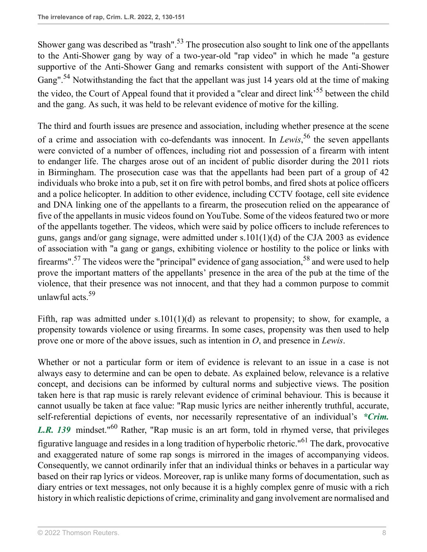<span id="page-7-1"></span><span id="page-7-0"></span>Shower gang was described as "trash".<sup>[53](#page-24-7)</sup> The prosecution also sought to link one of the appellants to the Anti-Shower gang by way of a two-year-old "rap video" in which he made "a gesture supportive of the Anti-Shower Gang and remarks consistent with support of the Anti-Shower Gang".<sup>[54](#page-24-8)</sup> Notwithstanding the fact that the appellant was just 14 years old at the time of making the video, the Court of Appeal found that it provided a "clear and direct link'<sup>[55](#page-24-9)</sup> between the child and the gang. As such, it was held to be relevant evidence of motive for the killing.

<span id="page-7-3"></span><span id="page-7-2"></span>The third and fourth issues are presence and association, including whether presence at the scene of a crime and association with co-defendants was innocent. In *[Lewis](http://uk.westlaw.com/Document/I2F0A92A082F411E38B63F6DB3BCE029D/View/FullText.html?originationContext=document&transitionType=DocumentItem&vr=3.0&rs=PLUK1.0&contextData=(sc.Search))*, [56](#page-24-10) the seven appellants were convicted of a number of offences, including riot and possession of a firearm with intent to endanger life. The charges arose out of an incident of public disorder during the 2011 riots in Birmingham. The prosecution case was that the appellants had been part of a group of 42 individuals who broke into a pub, set it on fire with petrol bombs, and fired shots at police officers and a police helicopter. In addition to other evidence, including CCTV footage, cell site evidence and DNA linking one of the appellants to a firearm, the prosecution relied on the appearance of five of the appellants in music videos found on YouTube. Some of the videos featured two or more of the appellants together. The videos, which were said by police officers to include references to guns, gangs and/or gang signage, were admitted under [s.101\(1\)\(d\) of the CJA 2003](http://uk.westlaw.com/Document/ID7143D50E45211DA8D70A0E70A78ED65/View/FullText.html?originationContext=document&transitionType=DocumentItem&vr=3.0&rs=PLUK1.0&contextData=(sc.Search)) as evidence of association with "a gang or gangs, exhibiting violence or hostility to the police or links with firearms".<sup>[57](#page-24-11)</sup> The videos were the "principal" evidence of gang association,<sup>[58](#page-24-12)</sup> and were used to help prove the important matters of the appellants' presence in the area of the pub at the time of the violence, that their presence was not innocent, and that they had a common purpose to commit unlawful acts  $59$ 

<span id="page-7-6"></span><span id="page-7-5"></span><span id="page-7-4"></span>Fifth, rap was admitted under [s.101\(1\)\(d\)](http://uk.westlaw.com/Document/ID7143D50E45211DA8D70A0E70A78ED65/View/FullText.html?originationContext=document&transitionType=DocumentItem&vr=3.0&rs=PLUK1.0&contextData=(sc.Search)) as relevant to propensity; to show, for example, a propensity towards violence or using firearms. In some cases, propensity was then used to help prove one or more of the above issues, such as intention in *[O](http://uk.westlaw.com/Document/I27FE29800E2211E0B1BCA59CF9A856C2/View/FullText.html?originationContext=document&transitionType=DocumentItem&vr=3.0&rs=PLUK1.0&contextData=(sc.Search))*, and presence in *[Lewis](http://uk.westlaw.com/Document/I2F0A92A082F411E38B63F6DB3BCE029D/View/FullText.html?originationContext=document&transitionType=DocumentItem&vr=3.0&rs=PLUK1.0&contextData=(sc.Search))*.

<span id="page-7-8"></span><span id="page-7-7"></span>Whether or not a particular form or item of evidence is relevant to an issue in a case is not always easy to determine and can be open to debate. As explained below, relevance is a relative concept, and decisions can be informed by cultural norms and subjective views. The position taken here is that rap music is rarely relevant evidence of criminal behaviour. This is because it cannot usually be taken at face value: "Rap music lyrics are neither inherently truthful, accurate, self-referential depictions of events, nor necessarily representative of an individual's *\*Crim. L.R. 139* mindset."[60](#page-24-14) Rather, "Rap music is an art form, told in rhymed verse, that privileges figurative language and resides in a long tradition of hyperbolic rhetoric."[61](#page-24-15) The dark, provocative and exaggerated nature of some rap songs is mirrored in the images of accompanying videos. Consequently, we cannot ordinarily infer that an individual thinks or behaves in a particular way based on their rap lyrics or videos. Moreover, rap is unlike many forms of documentation, such as diary entries or text messages, not only because it is a highly complex genre of music with a rich history in which realistic depictions of crime, criminality and gang involvement are normalised and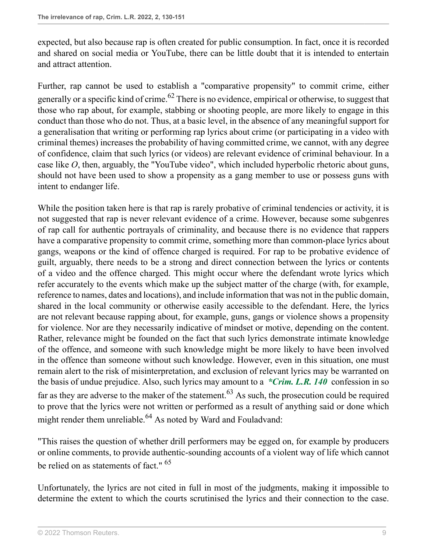expected, but also because rap is often created for public consumption. In fact, once it is recorded and shared on social media or YouTube, there can be little doubt that it is intended to entertain and attract attention.

<span id="page-8-0"></span>Further, rap cannot be used to establish a "comparative propensity" to commit crime, either generally or a specific kind of crime.<sup>[62](#page-24-16)</sup> There is no evidence, empirical or otherwise, to suggest that those who rap about, for example, stabbing or shooting people, are more likely to engage in this conduct than those who do not. Thus, at a basic level, in the absence of any meaningful support for a generalisation that writing or performing rap lyrics about crime (or participating in a video with criminal themes) increases the probability of having committed crime, we cannot, with any degree of confidence, claim that such lyrics (or videos) are relevant evidence of criminal behaviour. In a case like *[O](http://uk.westlaw.com/Document/I27FE29800E2211E0B1BCA59CF9A856C2/View/FullText.html?originationContext=document&transitionType=DocumentItem&vr=3.0&rs=PLUK1.0&contextData=(sc.Search))*, then, arguably, the "YouTube video", which included hyperbolic rhetoric about guns, should not have been used to show a propensity as a gang member to use or possess guns with intent to endanger life.

While the position taken here is that rap is rarely probative of criminal tendencies or activity, it is not suggested that rap is never relevant evidence of a crime. However, because some subgenres of rap call for authentic portrayals of criminality, and because there is no evidence that rappers have a comparative propensity to commit crime, something more than common-place lyrics about gangs, weapons or the kind of offence charged is required. For rap to be probative evidence of guilt, arguably, there needs to be a strong and direct connection between the lyrics or contents of a video and the offence charged. This might occur where the defendant wrote lyrics which refer accurately to the events which make up the subject matter of the charge (with, for example, reference to names, dates and locations), and include information that was not in the public domain, shared in the local community or otherwise easily accessible to the defendant. Here, the lyrics are not relevant because rapping about, for example, guns, gangs or violence shows a propensity for violence. Nor are they necessarily indicative of mindset or motive, depending on the content. Rather, relevance might be founded on the fact that such lyrics demonstrate intimate knowledge of the offence, and someone with such knowledge might be more likely to have been involved in the offence than someone without such knowledge. However, even in this situation, one must remain alert to the risk of misinterpretation, and exclusion of relevant lyrics may be warranted on the basis of undue prejudice. Also, such lyrics may amount to a *\*Crim. L.R. 140* confession in so far as they are adverse to the maker of the statement.<sup>[63](#page-24-17)</sup> As such, the prosecution could be required to prove that the lyrics were not written or performed as a result of anything said or done which might render them unreliable.<sup>[64](#page-24-18)</sup> As noted by Ward and Fouladvand:

<span id="page-8-3"></span><span id="page-8-2"></span><span id="page-8-1"></span>"This raises the question of whether drill performers may be egged on, for example by producers or online comments, to provide authentic-sounding accounts of a violent way of life which cannot be relied on as statements of fact." <sup>[65](#page-24-19)</sup>

Unfortunately, the lyrics are not cited in full in most of the judgments, making it impossible to determine the extent to which the courts scrutinised the lyrics and their connection to the case.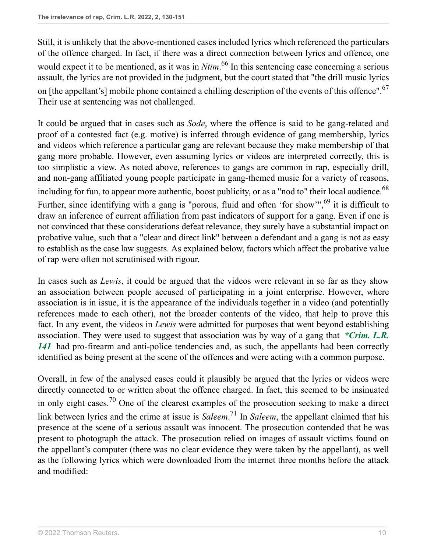<span id="page-9-0"></span>Still, it is unlikely that the above-mentioned cases included lyrics which referenced the particulars of the offence charged. In fact, if there was a direct connection between lyrics and offence, one would expect it to be mentioned, as it was in *[Ntim](http://uk.westlaw.com/Document/I5C5DBFB041B311E9B832A7CFC42188F1/View/FullText.html?originationContext=document&transitionType=DocumentItem&vr=3.0&rs=PLUK1.0&contextData=(sc.Search))*. [66](#page-24-20) In this sentencing case concerning a serious assault, the lyrics are not provided in the judgment, but the court stated that "the drill music lyrics on [the appellant's] mobile phone contained a chilling description of the events of this offence".<sup>[67](#page-24-21)</sup> Their use at sentencing was not challenged.

<span id="page-9-3"></span><span id="page-9-2"></span><span id="page-9-1"></span>It could be argued that in cases such as *[Sode](http://uk.westlaw.com/Document/ID97090A072A611E79A6CDDFCB3FECCC4/View/FullText.html?originationContext=document&transitionType=DocumentItem&vr=3.0&rs=PLUK1.0&contextData=(sc.Search))*, where the offence is said to be gang-related and proof of a contested fact (e.g. motive) is inferred through evidence of gang membership, lyrics and videos which reference a particular gang are relevant because they make membership of that gang more probable. However, even assuming lyrics or videos are interpreted correctly, this is too simplistic a view. As noted above, references to gangs are common in rap, especially drill, and non-gang affiliated young people participate in gang-themed music for a variety of reasons, including for fun, to appear more authentic, boost publicity, or as a "nod to" their local audience.<sup>[68](#page-24-22)</sup> Further, since identifying with a gang is "porous, fluid and often 'for show'",<sup>[69](#page-24-23)</sup> it is difficult to draw an inference of current affiliation from past indicators of support for a gang. Even if one is not convinced that these considerations defeat relevance, they surely have a substantial impact on probative value, such that a "clear and direct link" between a defendant and a gang is not as easy to establish as the case law suggests. As explained below, factors which affect the probative value of rap were often not scrutinised with rigour.

In cases such as *[Lewis](http://uk.westlaw.com/Document/I2F0A92A082F411E38B63F6DB3BCE029D/View/FullText.html?originationContext=document&transitionType=DocumentItem&vr=3.0&rs=PLUK1.0&contextData=(sc.Search))*, it could be argued that the videos were relevant in so far as they show an association between people accused of participating in a joint enterprise. However, where association is in issue, it is the appearance of the individuals together in a video (and potentially references made to each other), not the broader contents of the video, that help to prove this fact. In any event, the videos in *[Lewis](http://uk.westlaw.com/Document/I2F0A92A082F411E38B63F6DB3BCE029D/View/FullText.html?originationContext=document&transitionType=DocumentItem&vr=3.0&rs=PLUK1.0&contextData=(sc.Search))* were admitted for purposes that went beyond establishing association. They were used to suggest that association was by way of a gang that *\*Crim. L.R. 141* had pro-firearm and anti-police tendencies and, as such, the appellants had been correctly identified as being present at the scene of the offences and were acting with a common purpose.

<span id="page-9-5"></span><span id="page-9-4"></span>Overall, in few of the analysed cases could it plausibly be argued that the lyrics or videos were directly connected to or written about the offence charged. In fact, this seemed to be insinuated in only eight cases.<sup>[70](#page-24-24)</sup> One of the clearest examples of the prosecution seeking to make a direct link between lyrics and the crime at issue is *[Saleem](http://uk.westlaw.com/Document/I5DD11AB03CBE11DCA62BDCED1FB25210/View/FullText.html?originationContext=document&transitionType=DocumentItem&vr=3.0&rs=PLUK1.0&contextData=(sc.Search))*. [71](#page-25-0) In *[Saleem](http://uk.westlaw.com/Document/I5DD11AB03CBE11DCA62BDCED1FB25210/View/FullText.html?originationContext=document&transitionType=DocumentItem&vr=3.0&rs=PLUK1.0&contextData=(sc.Search))*, the appellant claimed that his presence at the scene of a serious assault was innocent. The prosecution contended that he was present to photograph the attack. The prosecution relied on images of assault victims found on the appellant's computer (there was no clear evidence they were taken by the appellant), as well as the following lyrics which were downloaded from the internet three months before the attack and modified: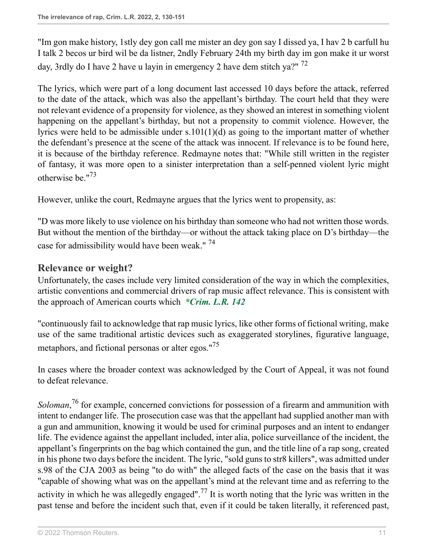<span id="page-10-0"></span>"Im gon make history, 1stly dey gon call me mister an dey gon say I dissed ya, I hav 2 b carfull hu I talk 2 becos ur bird wil be da listner, 2ndly February 24th my birth day im gon make it ur worst day, 3rdly do I have 2 have u layin in emergency 2 have dem stitch ya?" <sup>[72](#page-25-1)</sup>

The lyrics, which were part of a long document last accessed 10 days before the attack, referred to the date of the attack, which was also the appellant's birthday. The court held that they were not relevant evidence of a propensity for violence, as they showed an interest in something violent happening on the appellant's birthday, but not a propensity to commit violence. However, the lyrics were held to be admissible under [s.101\(1\)\(d\)](http://uk.westlaw.com/Document/ID7143D50E45211DA8D70A0E70A78ED65/View/FullText.html?originationContext=document&transitionType=DocumentItem&vr=3.0&rs=PLUK1.0&contextData=(sc.Search)) as going to the important matter of whether the defendant's presence at the scene of the attack was innocent. If relevance is to be found here, it is because of the birthday reference. Redmayne notes that: "While still written in the register of fantasy, it was more open to a sinister interpretation than a self-penned violent lyric might otherwise be."<sup>[73](#page-25-2)</sup>

<span id="page-10-1"></span>However, unlike the court, Redmayne argues that the lyrics went to propensity, as:

<span id="page-10-2"></span>"D was more likely to use violence on his birthday than someone who had not written those words. But without the mention of the birthday—or without the attack taking place on D's birthday—the case for admissibility would have been weak." [74](#page-25-3)

## **Relevance or weight?**

Unfortunately, the cases include very limited consideration of the way in which the complexities, artistic conventions and commercial drivers of rap music affect relevance. This is consistent with the approach of American courts which *\*Crim. L.R. 142*

<span id="page-10-3"></span>"continuously fail to acknowledge that rap music lyrics, like other forms of fictional writing, make use of the same traditional artistic devices such as exaggerated storylines, figurative language, metaphors, and fictional personas or alter egos."<sup>[75](#page-25-4)</sup>

In cases where the broader context was acknowledged by the Court of Appeal, it was not found to defeat relevance.

<span id="page-10-5"></span><span id="page-10-4"></span>*[Soloman](http://uk.westlaw.com/Document/I98132520B44711E9A7E8A12838A9008F/View/FullText.html?originationContext=document&transitionType=DocumentItem&vr=3.0&rs=PLUK1.0&contextData=(sc.Search))*, [76](#page-25-5) for example, concerned convictions for possession of a firearm and ammunition with intent to endanger life. The prosecution case was that the appellant had supplied another man with a gun and ammunition, knowing it would be used for criminal purposes and an intent to endanger life. The evidence against the appellant included, inter alia, police surveillance of the incident, the appellant's fingerprints on the bag which contained the gun, and the title line of a rap song, created in his phone two days before the incident. The lyric, "sold guns to str8 killers", was admitted under [s.98 of the CJA 2003](http://uk.westlaw.com/Document/ID7128FA0E45211DA8D70A0E70A78ED65/View/FullText.html?originationContext=document&transitionType=DocumentItem&vr=3.0&rs=PLUK1.0&contextData=(sc.Search)) as being "to do with" the alleged facts of the case on the basis that it was "capable of showing what was on the appellant's mind at the relevant time and as referring to the activity in which he was allegedly engaged".<sup>[77](#page-25-6)</sup> It is worth noting that the lyric was written in the past tense and before the incident such that, even if it could be taken literally, it referenced past,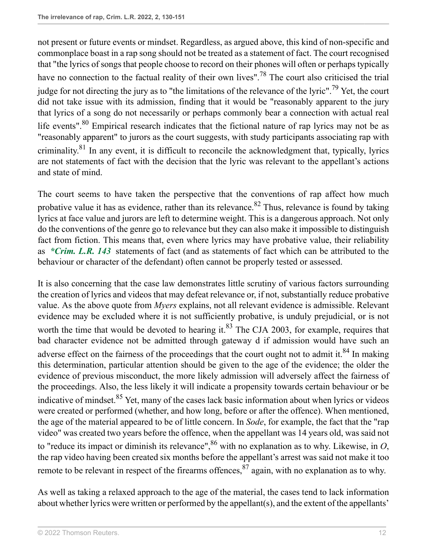<span id="page-11-1"></span><span id="page-11-0"></span>not present or future events or mindset. Regardless, as argued above, this kind of non-specific and commonplace boast in a rap song should not be treated as a statement of fact. The court recognised that "the lyrics of songs that people choose to record on their phones will often or perhaps typically have no connection to the factual reality of their own lives".<sup>[78](#page-25-7)</sup> The court also criticised the trial judge for not directing the jury as to "the limitations of the relevance of the lyric".<sup>[79](#page-25-8)</sup> Yet, the court did not take issue with its admission, finding that it would be "reasonably apparent to the jury that lyrics of a song do not necessarily or perhaps commonly bear a connection with actual real life events".<sup>[80](#page-25-9)</sup> Empirical research indicates that the fictional nature of rap lyrics may not be as "reasonably apparent" to jurors as the court suggests, with study participants associating rap with criminality.<sup>[81](#page-25-10)</sup> In any event, it is difficult to reconcile the acknowledgment that, typically, lyrics are not statements of fact with the decision that the lyric was relevant to the appellant's actions and state of mind.

<span id="page-11-4"></span><span id="page-11-3"></span><span id="page-11-2"></span>The court seems to have taken the perspective that the conventions of rap affect how much probative value it has as evidence, rather than its relevance.<sup>[82](#page-25-11)</sup> Thus, relevance is found by taking lyrics at face value and jurors are left to determine weight. This is a dangerous approach. Not only do the conventions of the genre go to relevance but they can also make it impossible to distinguish fact from fiction. This means that, even where lyrics may have probative value, their reliability as *\*Crim. L.R. 143* statements of fact (and as statements of fact which can be attributed to the behaviour or character of the defendant) often cannot be properly tested or assessed.

<span id="page-11-6"></span><span id="page-11-5"></span>It is also concerning that the case law demonstrates little scrutiny of various factors surrounding the creation of lyrics and videos that may defeat relevance or, if not, substantially reduce probative value. As the above quote from *[Myers](http://uk.westlaw.com/Document/I0559FB706C1E11E5A2428B3467E03F52/View/FullText.html?originationContext=document&transitionType=DocumentItem&vr=3.0&rs=PLUK1.0&contextData=(sc.Search))* explains, not all relevant evidence is admissible. Relevant evidence may be excluded where it is not sufficiently probative, is unduly prejudicial, or is not worth the time that would be devoted to hearing it. $83$  The [CJA 2003](http://uk.westlaw.com/Document/I5F97C0A0E42311DAA7CF8F68F6EE57AB/View/FullText.html?originationContext=document&transitionType=DocumentItem&vr=3.0&rs=PLUK1.0&contextData=(sc.Search)), for example, requires that bad character evidence not be admitted through gateway d if admission would have such an adverse effect on the fairness of the proceedings that the court ought not to admit it.<sup>[84](#page-25-13)</sup> In making this determination, particular attention should be given to the age of the evidence; the older the evidence of previous misconduct, the more likely admission will adversely affect the fairness of the proceedings. Also, the less likely it will indicate a propensity towards certain behaviour or be indicative of mindset.<sup>[85](#page-25-14)</sup> Yet, many of the cases lack basic information about when lyrics or videos were created or performed (whether, and how long, before or after the offence). When mentioned, the age of the material appeared to be of little concern. In *[Sode](http://uk.westlaw.com/Document/ID97090A072A611E79A6CDDFCB3FECCC4/View/FullText.html?originationContext=document&transitionType=DocumentItem&vr=3.0&rs=PLUK1.0&contextData=(sc.Search))*, for example, the fact that the "rap video" was created two years before the offence, when the appellant was 14 years old, was said not to "reduce its impact or diminish its relevance",  $86$  with no explanation as to why. Likewise, in *[O](http://uk.westlaw.com/Document/I27FE29800E2211E0B1BCA59CF9A856C2/View/FullText.html?originationContext=document&transitionType=DocumentItem&vr=3.0&rs=PLUK1.0&contextData=(sc.Search))*, the rap video having been created six months before the appellant's arrest was said not make it too remote to be relevant in respect of the firearms offences,  $87$  again, with no explanation as to why.

<span id="page-11-9"></span><span id="page-11-8"></span><span id="page-11-7"></span>As well as taking a relaxed approach to the age of the material, the cases tend to lack information about whether lyrics were written or performed by the appellant(s), and the extent of the appellants'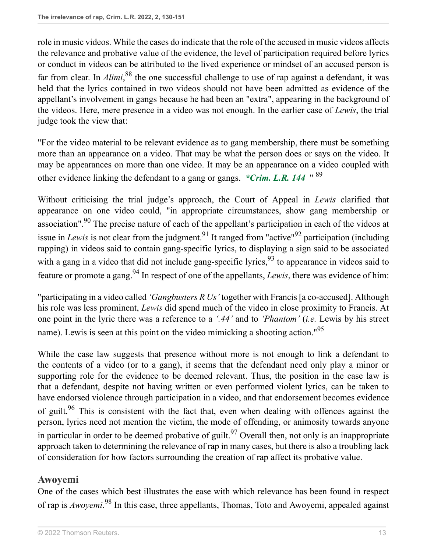<span id="page-12-0"></span>role in music videos. While the cases do indicate that the role of the accused in music videos affects the relevance and probative value of the evidence, the level of participation required before lyrics or conduct in videos can be attributed to the lived experience or mindset of an accused person is far from clear. In *Alimi*, <sup>[88](#page-25-17)</sup> the one successful challenge to use of rap against a defendant, it was held that the lyrics contained in two videos should not have been admitted as evidence of the appellant's involvement in gangs because he had been an "extra", appearing in the background of the videos. Here, mere presence in a video was not enough. In the earlier case of *[Lewis](http://uk.westlaw.com/Document/I2F0A92A082F411E38B63F6DB3BCE029D/View/FullText.html?originationContext=document&transitionType=DocumentItem&vr=3.0&rs=PLUK1.0&contextData=(sc.Search))*, the trial judge took the view that:

"For the video material to be relevant evidence as to gang membership, there must be something more than an appearance on a video. That may be what the person does or says on the video. It may be appearances on more than one video. It may be an appearance on a video coupled with other evidence linking the defendant to a gang or gangs. *\*Crim. L.R. 144* " [89](#page-26-0)

<span id="page-12-4"></span><span id="page-12-3"></span><span id="page-12-2"></span><span id="page-12-1"></span>Without criticising the trial judge's approach, the Court of Appeal in *[Lewis](http://uk.westlaw.com/Document/I2F0A92A082F411E38B63F6DB3BCE029D/View/FullText.html?originationContext=document&transitionType=DocumentItem&vr=3.0&rs=PLUK1.0&contextData=(sc.Search))* clarified that appearance on one video could, "in appropriate circumstances, show gang membership or association".<sup>[90](#page-26-1)</sup> The precise nature of each of the appellant's participation in each of the videos at issue in *[Lewis](http://uk.westlaw.com/Document/I2F0A92A082F411E38B63F6DB3BCE029D/View/FullText.html?originationContext=document&transitionType=DocumentItem&vr=3.0&rs=PLUK1.0&contextData=(sc.Search))* is not clear from the judgment.<sup>[91](#page-26-2)</sup> It ranged from "active"<sup>[92](#page-26-3)</sup> participation (including rapping) in videos said to contain gang-specific lyrics, to displaying a sign said to be associated with a gang in a video that did not include gang-specific lyrics,  $93$  to appearance in videos said to feature or promote a gang.<sup>[94](#page-26-5)</sup> In respect of one of the appellants, *[Lewis](http://uk.westlaw.com/Document/I2F0A92A082F411E38B63F6DB3BCE029D/View/FullText.html?originationContext=document&transitionType=DocumentItem&vr=3.0&rs=PLUK1.0&contextData=(sc.Search))*, there was evidence of him:

<span id="page-12-6"></span><span id="page-12-5"></span>"participating in a video called *'Gangbusters R Us'* together with Francis [a co-accused]. Although his role was less prominent, *[Lewis](http://uk.westlaw.com/Document/I2F0A92A082F411E38B63F6DB3BCE029D/View/FullText.html?originationContext=document&transitionType=DocumentItem&vr=3.0&rs=PLUK1.0&contextData=(sc.Search))* did spend much of the video in close proximity to Francis. At one point in the lyric there was a reference to a *'.44'* and to *'Phantom'* (*i.e.* Lewis by his street name). Lewis is seen at this point on the video mimicking a shooting action."<sup>[95](#page-26-6)</sup>

<span id="page-12-8"></span><span id="page-12-7"></span>While the case law suggests that presence without more is not enough to link a defendant to the contents of a video (or to a gang), it seems that the defendant need only play a minor or supporting role for the evidence to be deemed relevant. Thus, the position in the case law is that a defendant, despite not having written or even performed violent lyrics, can be taken to have endorsed violence through participation in a video, and that endorsement becomes evidence of guilt.<sup>[96](#page-26-7)</sup> This is consistent with the fact that, even when dealing with offences against the person, lyrics need not mention the victim, the mode of offending, or animosity towards anyone in particular in order to be deemed probative of guilt.<sup>[97](#page-26-8)</sup> Overall then, not only is an inappropriate approach taken to determining the relevance of rap in many cases, but there is also a troubling lack of consideration for how factors surrounding the creation of rap affect its probative value.

## <span id="page-12-9"></span>**Awoyemi**

<span id="page-12-10"></span>One of the cases which best illustrates the ease with which relevance has been found in respect of rap is *[Awoyemi](http://uk.westlaw.com/Document/I6CD051702D6411E6B0CD88A51009875D/View/FullText.html?originationContext=document&transitionType=DocumentItem&vr=3.0&rs=PLUK1.0&contextData=(sc.Search))*. [98](#page-26-9) In this case, three appellants, Thomas, Toto and Awoyemi, appealed against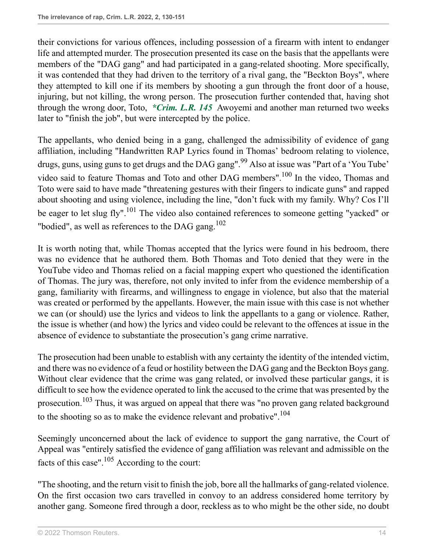their convictions for various offences, including possession of a firearm with intent to endanger life and attempted murder. The prosecution presented its case on the basis that the appellants were members of the "DAG gang" and had participated in a gang-related shooting. More specifically, it was contended that they had driven to the territory of a rival gang, the "Beckton Boys", where they attempted to kill one if its members by shooting a gun through the front door of a house, injuring, but not killing, the wrong person. The prosecution further contended that, having shot through the wrong door, Toto, *\*Crim. L.R. 145* Awoyemi and another man returned two weeks later to "finish the job", but were intercepted by the police.

<span id="page-13-1"></span><span id="page-13-0"></span>The appellants, who denied being in a gang, challenged the admissibility of evidence of gang affiliation, including "Handwritten RAP Lyrics found in Thomas' bedroom relating to violence, drugs, guns, using guns to get drugs and the DAG gang".<sup>[99](#page-26-10)</sup> Also at issue was "Part of a 'You Tube' video said to feature Thomas and Toto and other DAG members".<sup>[100](#page-26-11)</sup> In the video, Thomas and Toto were said to have made "threatening gestures with their fingers to indicate guns" and rapped about shooting and using violence, including the line, "don't fuck with my family. Why? Cos I'll be eager to let slug fly".<sup>[101](#page-26-12)</sup> The video also contained references to someone getting "vacked" or "bodied", as well as references to the DAG gang.<sup>[102](#page-26-13)</sup>

<span id="page-13-3"></span><span id="page-13-2"></span>It is worth noting that, while Thomas accepted that the lyrics were found in his bedroom, there was no evidence that he authored them. Both Thomas and Toto denied that they were in the YouTube video and Thomas relied on a facial mapping expert who questioned the identification of Thomas. The jury was, therefore, not only invited to infer from the evidence membership of a gang, familiarity with firearms, and willingness to engage in violence, but also that the material was created or performed by the appellants. However, the main issue with this case is not whether we can (or should) use the lyrics and videos to link the appellants to a gang or violence. Rather, the issue is whether (and how) the lyrics and video could be relevant to the offences at issue in the absence of evidence to substantiate the prosecution's gang crime narrative.

The prosecution had been unable to establish with any certainty the identity of the intended victim, and there was no evidence of a feud or hostility between the DAG gang and the Beckton Boys gang. Without clear evidence that the crime was gang related, or involved these particular gangs, it is difficult to see how the evidence operated to link the accused to the crime that was presented by the prosecution.<sup>[103](#page-26-14)</sup> Thus, it was argued on appeal that there was "no proven gang related background to the shooting so as to make the evidence relevant and probative".<sup>[104](#page-26-15)</sup>

<span id="page-13-6"></span><span id="page-13-5"></span><span id="page-13-4"></span>Seemingly unconcerned about the lack of evidence to support the gang narrative, the Court of Appeal was "entirely satisfied the evidence of gang affiliation was relevant and admissible on the facts of this case".<sup>[105](#page-26-16)</sup> According to the court:

"The shooting, and the return visit to finish the job, bore all the hallmarks of gang-related violence. On the first occasion two cars travelled in convoy to an address considered home territory by another gang. Someone fired through a door, reckless as to who might be the other side, no doubt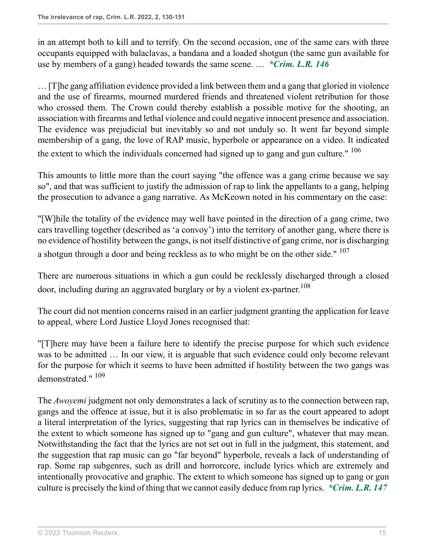in an attempt both to kill and to terrify. On the second occasion, one of the same cars with three occupants equipped with balaclavas, a bandana and a loaded shotgun (the same gun available for use by members of a gang) headed towards the same scene. … *\*Crim. L.R. 146*

… [T]he gang affiliation evidence provided a link between them and a gang that gloried in violence and the use of firearms, mourned murdered friends and threatened violent retribution for those who crossed them. The Crown could thereby establish a possible motive for the shooting, an association with firearms and lethal violence and could negative innocent presence and association. The evidence was prejudicial but inevitably so and not unduly so. It went far beyond simple membership of a gang, the love of RAP music, hyperbole or appearance on a video. It indicated the extent to which the individuals concerned had signed up to gang and gun culture." <sup>[106](#page-26-17)</sup>

<span id="page-14-0"></span>This amounts to little more than the court saying "the offence was a gang crime because we say so", and that was sufficient to justify the admission of rap to link the appellants to a gang, helping the prosecution to advance a gang narrative. As McKeown noted in his commentary on the case:

"[W]hile the totality of the evidence may well have pointed in the direction of a gang crime, two cars travelling together (described as 'a convoy') into the territory of another gang, where there is no evidence of hostility between the gangs, is not itself distinctive of gang crime, nor is discharging a shotgun through a door and being reckless as to who might be on the other side." [107](#page-26-18)

<span id="page-14-2"></span><span id="page-14-1"></span>There are numerous situations in which a gun could be recklessly discharged through a closed door, including during an aggravated burglary or by a violent ex-partner.<sup>[108](#page-26-19)</sup>

The court did not mention concerns raised in an earlier judgment granting the application for leave to appeal, where Lord Justice Lloyd Jones recognised that:

"[T]here may have been a failure here to identify the precise purpose for which such evidence was to be admitted … In our view, it is arguable that such evidence could only become relevant for the purpose for which it seems to have been admitted if hostility between the two gangs was demonstrated." <sup>[109](#page-26-20)</sup>

<span id="page-14-3"></span>The *[Awoyemi](http://uk.westlaw.com/Document/I6CD051702D6411E6B0CD88A51009875D/View/FullText.html?originationContext=document&transitionType=DocumentItem&vr=3.0&rs=PLUK1.0&contextData=(sc.Search))* judgment not only demonstrates a lack of scrutiny as to the connection between rap, gangs and the offence at issue, but it is also problematic in so far as the court appeared to adopt a literal interpretation of the lyrics, suggesting that rap lyrics can in themselves be indicative of the extent to which someone has signed up to "gang and gun culture", whatever that may mean. Notwithstanding the fact that the lyrics are not set out in full in the judgment, this statement, and the suggestion that rap music can go "far beyond" hyperbole, reveals a lack of understanding of rap. Some rap subgenres, such as drill and horrorcore, include lyrics which are extremely and intentionally provocative and graphic. The extent to which someone has signed up to gang or gun culture is precisely the kind of thing that we cannot easily deduce from rap lyrics. *\*Crim. L.R. 147*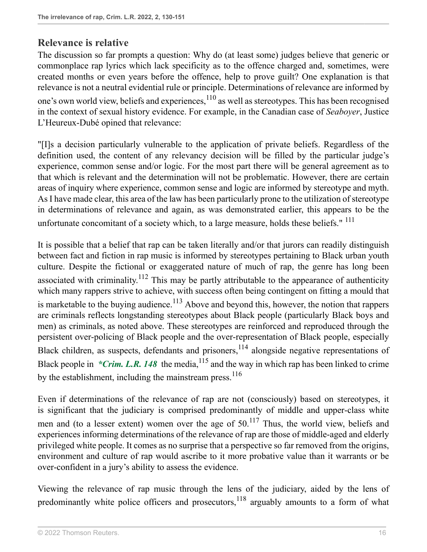## **Relevance is relative**

<span id="page-15-0"></span>The discussion so far prompts a question: Why do (at least some) judges believe that generic or commonplace rap lyrics which lack specificity as to the offence charged and, sometimes, were created months or even years before the offence, help to prove guilt? One explanation is that relevance is not a neutral evidential rule or principle. Determinations of relevance are informed by one's own world view, beliefs and experiences, $110$  as well as stereotypes. This has been recognised in the context of sexual history evidence. For example, in the Canadian case of *Seaboyer*, Justice L'Heureux-Dubé opined that relevance:

"[I]s a decision particularly vulnerable to the application of private beliefs. Regardless of the definition used, the content of any relevancy decision will be filled by the particular judge's experience, common sense and/or logic. For the most part there will be general agreement as to that which is relevant and the determination will not be problematic. However, there are certain areas of inquiry where experience, common sense and logic are informed by stereotype and myth. As I have made clear, this area of the law has been particularly prone to the utilization of stereotype in determinations of relevance and again, as was demonstrated earlier, this appears to be the unfortunate concomitant of a society which, to a large measure, holds these beliefs." <sup>[111](#page-26-22)</sup>

<span id="page-15-3"></span><span id="page-15-2"></span><span id="page-15-1"></span>It is possible that a belief that rap can be taken literally and/or that jurors can readily distinguish between fact and fiction in rap music is informed by stereotypes pertaining to Black urban youth culture. Despite the fictional or exaggerated nature of much of rap, the genre has long been associated with criminality.<sup>[112](#page-27-0)</sup> This may be partly attributable to the appearance of authenticity which many rappers strive to achieve, with success often being contingent on fitting a mould that is marketable to the buying audience.<sup>[113](#page-27-1)</sup> Above and beyond this, however, the notion that rappers are criminals reflects longstanding stereotypes about Black people (particularly Black boys and men) as criminals, as noted above. These stereotypes are reinforced and reproduced through the persistent over-policing of Black people and the over-representation of Black people, especially Black children, as suspects, defendants and prisoners,<sup>[114](#page-27-2)</sup> alongside negative representations of Black people in  $*Crim.$  L.R. 148 the media,<sup>[115](#page-27-3)</sup> and the way in which rap has been linked to crime by the establishment, including the mainstream press.<sup>[116](#page-27-4)</sup>

<span id="page-15-7"></span><span id="page-15-6"></span><span id="page-15-5"></span><span id="page-15-4"></span>Even if determinations of the relevance of rap are not (consciously) based on stereotypes, it is significant that the judiciary is comprised predominantly of middle and upper-class white men and (to a lesser extent) women over the age of  $50<sup>117</sup>$  $50<sup>117</sup>$  $50<sup>117</sup>$  Thus, the world view, beliefs and experiences informing determinations of the relevance of rap are those of middle-aged and elderly privileged white people. It comes as no surprise that a perspective so far removed from the origins, environment and culture of rap would ascribe to it more probative value than it warrants or be over-confident in a jury's ability to assess the evidence.

<span id="page-15-8"></span>Viewing the relevance of rap music through the lens of the judiciary, aided by the lens of predominantly white police officers and prosecutors,  $118$  arguably amounts to a form of what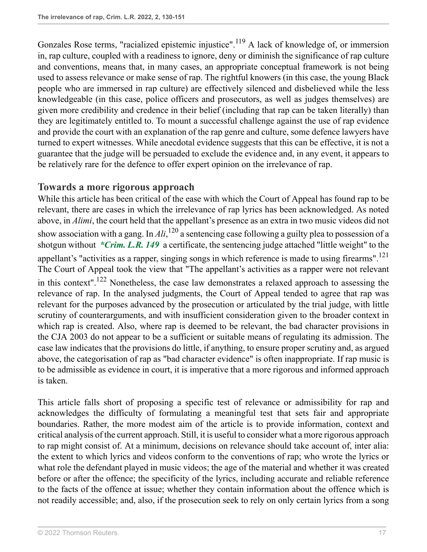<span id="page-16-0"></span>Gonzales Rose terms, "racialized epistemic injustice".<sup>[119](#page-28-2)</sup> A lack of knowledge of, or immersion in, rap culture, coupled with a readiness to ignore, deny or diminish the significance of rap culture and conventions, means that, in many cases, an appropriate conceptual framework is not being used to assess relevance or make sense of rap. The rightful knowers (in this case, the young Black people who are immersed in rap culture) are effectively silenced and disbelieved while the less knowledgeable (in this case, police officers and prosecutors, as well as judges themselves) are given more credibility and credence in their belief (including that rap can be taken literally) than they are legitimately entitled to. To mount a successful challenge against the use of rap evidence and provide the court with an explanation of the rap genre and culture, some defence lawyers have turned to expert witnesses. While anecdotal evidence suggests that this can be effective, it is not a guarantee that the judge will be persuaded to exclude the evidence and, in any event, it appears to be relatively rare for the defence to offer expert opinion on the irrelevance of rap.

### **Towards a more rigorous approach**

<span id="page-16-3"></span><span id="page-16-2"></span><span id="page-16-1"></span>While this article has been critical of the ease with which the Court of Appeal has found rap to be relevant, there are cases in which the irrelevance of rap lyrics has been acknowledged. As noted above, in *Alimi*, the court held that the appellant's presence as an extra in two music videos did not show association with a gang. In *[Ali](http://uk.westlaw.com/Document/I9C9A16208DE211E9A316FC3977075FE7/View/FullText.html?originationContext=document&transitionType=DocumentItem&vr=3.0&rs=PLUK1.0&contextData=(sc.Search))*, [120](#page-28-3) a sentencing case following a guilty plea to possession of a shotgun without *\*Crim. L.R. 149* a certificate, the sentencing judge attached "little weight" to the appellant's "activities as a rapper, singing songs in which reference is made to using firearms".<sup>[121](#page-28-4)</sup> The Court of Appeal took the view that "The appellant's activities as a rapper were not relevant in this context".[122](#page-28-5) Nonetheless, the case law demonstrates a relaxed approach to assessing the relevance of rap. In the analysed judgments, the Court of Appeal tended to agree that rap was relevant for the purposes advanced by the prosecution or articulated by the trial judge, with little scrutiny of counterarguments, and with insufficient consideration given to the broader context in which rap is created. Also, where rap is deemed to be relevant, the bad character provisions in the [CJA 2003](http://uk.westlaw.com/Document/I5F97C0A0E42311DAA7CF8F68F6EE57AB/View/FullText.html?originationContext=document&transitionType=DocumentItem&vr=3.0&rs=PLUK1.0&contextData=(sc.Search)) do not appear to be a sufficient or suitable means of regulating its admission. The case law indicates that the provisions do little, if anything, to ensure proper scrutiny and, as argued above, the categorisation of rap as "bad character evidence" is often inappropriate. If rap music is to be admissible as evidence in court, it is imperative that a more rigorous and informed approach is taken.

This article falls short of proposing a specific test of relevance or admissibility for rap and acknowledges the difficulty of formulating a meaningful test that sets fair and appropriate boundaries. Rather, the more modest aim of the article is to provide information, context and critical analysis of the current approach. Still, it is useful to consider what a more rigorous approach to rap might consist of. At a minimum, decisions on relevance should take account of, inter alia: the extent to which lyrics and videos conform to the conventions of rap; who wrote the lyrics or what role the defendant played in music videos; the age of the material and whether it was created before or after the offence; the specificity of the lyrics, including accurate and reliable reference to the facts of the offence at issue; whether they contain information about the offence which is not readily accessible; and, also, if the prosecution seek to rely on only certain lyrics from a song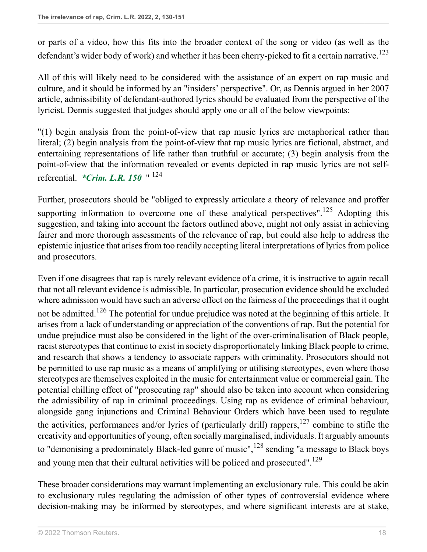<span id="page-17-0"></span>or parts of a video, how this fits into the broader context of the song or video (as well as the defendant's wider body of work) and whether it has been cherry-picked to fit a certain narrative.<sup>[123](#page-28-6)</sup>

All of this will likely need to be considered with the assistance of an expert on rap music and culture, and it should be informed by an "insiders' perspective". Or, as Dennis argued in her 2007 article, admissibility of defendant-authored lyrics should be evaluated from the perspective of the lyricist. Dennis suggested that judges should apply one or all of the below viewpoints:

"(1) begin analysis from the point-of-view that rap music lyrics are metaphorical rather than literal; (2) begin analysis from the point-of-view that rap music lyrics are fictional, abstract, and entertaining representations of life rather than truthful or accurate; (3) begin analysis from the point-of-view that the information revealed or events depicted in rap music lyrics are not selfreferential. *\*Crim. L.R. 150* " [124](#page-28-7)

<span id="page-17-2"></span><span id="page-17-1"></span>Further, prosecutors should be "obliged to expressly articulate a theory of relevance and proffer supporting information to overcome one of these analytical perspectives".<sup>[125](#page-28-8)</sup> Adopting this suggestion, and taking into account the factors outlined above, might not only assist in achieving fairer and more thorough assessments of the relevance of rap, but could also help to address the epistemic injustice that arises from too readily accepting literal interpretations of lyrics from police and prosecutors.

<span id="page-17-3"></span>Even if one disagrees that rap is rarely relevant evidence of a crime, it is instructive to again recall that not all relevant evidence is admissible. In particular, prosecution evidence should be excluded where admission would have such an adverse effect on the fairness of the proceedings that it ought not be admitted.<sup>[126](#page-28-9)</sup> The potential for undue prejudice was noted at the beginning of this article. It arises from a lack of understanding or appreciation of the conventions of rap. But the potential for undue prejudice must also be considered in the light of the over-criminalisation of Black people, racist stereotypes that continue to exist in society disproportionately linking Black people to crime, and research that shows a tendency to associate rappers with criminality. Prosecutors should not be permitted to use rap music as a means of amplifying or utilising stereotypes, even where those stereotypes are themselves exploited in the music for entertainment value or commercial gain. The potential chilling effect of "prosecuting rap" should also be taken into account when considering the admissibility of rap in criminal proceedings. Using rap as evidence of criminal behaviour, alongside gang injunctions and Criminal Behaviour Orders which have been used to regulate the activities, performances and/or lyrics of (particularly drill) rappers, $127$  combine to stifle the creativity and opportunities of young, often socially marginalised, individuals. It arguably amounts to "demonising a predominately Black-led genre of music",  $^{128}$  $^{128}$  $^{128}$  sending "a message to Black boys and young men that their cultural activities will be policed and prosecuted".<sup>[129](#page-29-1)</sup>

<span id="page-17-6"></span><span id="page-17-5"></span><span id="page-17-4"></span>These broader considerations may warrant implementing an exclusionary rule. This could be akin to exclusionary rules regulating the admission of other types of controversial evidence where decision-making may be informed by stereotypes, and where significant interests are at stake,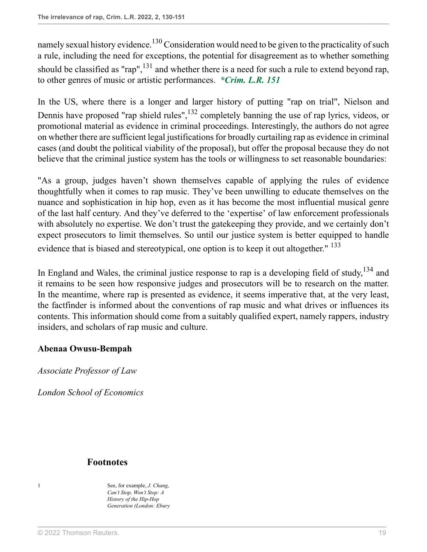<span id="page-18-2"></span><span id="page-18-1"></span>namely sexual history evidence.<sup>[130](#page-29-2)</sup> Consideration would need to be given to the practicality of such a rule, including the need for exceptions, the potential for disagreement as to whether something should be classified as "rap",  $^{131}$  $^{131}$  $^{131}$  and whether there is a need for such a rule to extend beyond rap, to other genres of music or artistic performances. *\*Crim. L.R. 151*

<span id="page-18-3"></span>In the US, where there is a longer and larger history of putting "rap on trial", Nielson and Dennis have proposed "rap shield rules",  $^{132}$  $^{132}$  $^{132}$  completely banning the use of rap lyrics, videos, or promotional material as evidence in criminal proceedings. Interestingly, the authors do not agree on whether there are sufficient legal justifications for broadly curtailing rap as evidence in criminal cases (and doubt the political viability of the proposal), but offer the proposal because they do not believe that the criminal justice system has the tools or willingness to set reasonable boundaries:

"As a group, judges haven't shown themselves capable of applying the rules of evidence thoughtfully when it comes to rap music. They've been unwilling to educate themselves on the nuance and sophistication in hip hop, even as it has become the most influential musical genre of the last half century. And they've deferred to the 'expertise' of law enforcement professionals with absolutely no expertise. We don't trust the gatekeeping they provide, and we certainly don't expect prosecutors to limit themselves. So until our justice system is better equipped to handle evidence that is biased and stereotypical, one option is to keep it out altogether." <sup>[133](#page-29-5)</sup>

<span id="page-18-5"></span><span id="page-18-4"></span>In England and Wales, the criminal justice response to rap is a developing field of study,  $134$  and it remains to be seen how responsive judges and prosecutors will be to research on the matter. In the meantime, where rap is presented as evidence, it seems imperative that, at the very least, the factfinder is informed about the conventions of rap music and what drives or influences its contents. This information should come from a suitably qualified expert, namely rappers, industry insiders, and scholars of rap music and culture.

#### **Abenaa Owusu-Bempah**

*Associate Professor of Law*

*London School of Economics*

#### **Footnotes**

<span id="page-18-0"></span>[1](#page-0-0) See, for example, *J. Chang, Can't Stop, Won't Stop: A History of the Hip-Hop Generation (London: Ebury*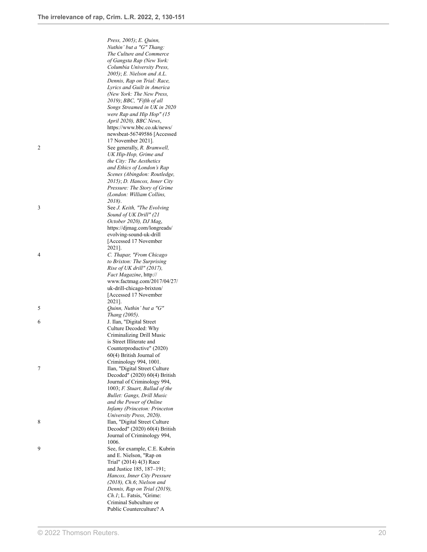<span id="page-19-2"></span><span id="page-19-1"></span><span id="page-19-0"></span>

|                | Press, 2005); E. Quinn,                                      |
|----------------|--------------------------------------------------------------|
|                | Nuthin' but a "G" Thang:                                     |
|                | The Culture and Commerce                                     |
|                | of Gangsta Rap (New York:                                    |
|                | Columbia University Press,                                   |
|                | 2005); E. Nielson and A.L.<br>Dennis, Rap on Trial: Race,    |
|                | Lyrics and Guilt in America                                  |
|                | (New York: The New Press,                                    |
|                | 2019); BBC, "Fifth of all                                    |
|                | Songs Streamed in UK in 2020                                 |
|                | were Rap and Hip Hop" (15                                    |
|                | April 2020), BBC News,                                       |
|                | https://www.bbc.co.uk/news/                                  |
|                | newsbeat-56749586 [Accessed                                  |
| $\overline{2}$ | 17 November 2021].<br>See generally, R. Bramwell,            |
|                | UK Hip-Hop, Grime and                                        |
|                | the City: The Aesthetics                                     |
|                | and Ethics of London's Rap                                   |
|                | Scenes (Abingdon: Routledge,                                 |
|                | 2015); D. Hancox, Inner City                                 |
|                | Pressure: The Story of Grime                                 |
|                | (London: William Collins,                                    |
|                | 2018).                                                       |
| 3              | See J. Keith, "The Evolving                                  |
|                | Sound of UK Drill" (21                                       |
|                | October 2020), DJ Mag,<br>https://djmag.com/longreads/       |
|                | evolving-sound-uk-drill                                      |
|                | [Accessed 17 November]                                       |
|                | 2021].                                                       |
| 4              | C. Thapar, "From Chicago                                     |
|                | to Brixton: The Surprising                                   |
|                | Rise of UK drill" (2017),                                    |
|                | <i>Fact Magazine</i> , http://                               |
|                | www.factmag.com/2017/04/27/                                  |
|                | uk-drill-chicago-brixton/<br>[Accessed 17 November]          |
|                | 2021].                                                       |
| 5              | Quinn, Nuthin' but a "G"                                     |
|                | <i>Thang (2005).</i>                                         |
| 6              | J. Ilan, "Digital Street                                     |
|                | Culture Decoded: Why                                         |
|                | Criminalizing Drill Music                                    |
|                | is Street Illiterate and                                     |
|                | Counterproductive" (2020)<br>60(4) British Journal of        |
|                | Criminology 994, 1001.                                       |
| 7              | Ilan, "Digital Street Culture                                |
|                | Decoded" (2020) 60(4) British                                |
|                | Journal of Criminology 994,                                  |
|                | 1003; F. Stuart, Ballad of the                               |
|                | Bullet: Gangs, Drill Music                                   |
|                | and the Power of Online                                      |
|                | Infamy (Princeton: Princeton                                 |
| 8              | University Press, 2020).<br>Ilan, "Digital Street Culture    |
|                | Decoded" (2020) 60(4) British                                |
|                | Journal of Criminology 994,                                  |
|                | 1006.                                                        |
| 9              | See, for example, C.E. Kubrin                                |
|                | and E. Nielson, "Rap on                                      |
|                | Trial" (2014) 4(3) Race                                      |
|                | and Justice 185, 187-191;                                    |
|                | Hancox, Inner City Pressure                                  |
|                | $(2018)$ , Ch.6; Nielson and<br>Dennis, Rap on Trial (2019), |
|                | $Ch.1$ ; L. Fatsis, "Grime:                                  |
|                | Criminal Subculture or                                       |
|                |                                                              |

<span id="page-19-7"></span><span id="page-19-6"></span><span id="page-19-5"></span><span id="page-19-4"></span><span id="page-19-3"></span>Public Counterculture? A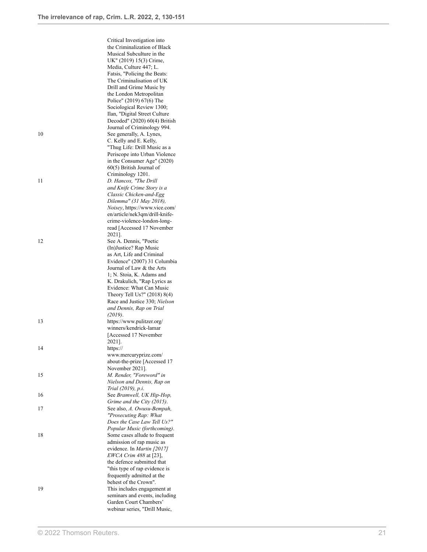<span id="page-20-9"></span><span id="page-20-8"></span><span id="page-20-7"></span><span id="page-20-6"></span><span id="page-20-5"></span><span id="page-20-4"></span><span id="page-20-3"></span><span id="page-20-2"></span><span id="page-20-1"></span><span id="page-20-0"></span>

|    | Critical Investigation into                                     |
|----|-----------------------------------------------------------------|
|    | the Criminalization of Black                                    |
|    | Musical Subculture in the                                       |
|    | UK" (2019) 15(3) Crime,                                         |
|    | Media, Culture 447; L.                                          |
|    | Fatsis, "Policing the Beats:                                    |
|    | The Criminalisation of UK                                       |
|    | Drill and Grime Music by                                        |
|    | the London Metropolitan                                         |
|    | Police" (2019) 67(6) The                                        |
|    | Sociological Review 1300;                                       |
|    | Ilan, "Digital Street Culture"<br>Decoded" (2020) 60(4) British |
|    | Journal of Criminology 994.                                     |
| 10 | See generally, A. Lynes,                                        |
|    | C. Kelly and E. Kelly,                                          |
|    | "Thug Life: Drill Music as a                                    |
|    | Periscope into Urban Violence                                   |
|    | in the Consumer Age" (2020)                                     |
|    | 60(5) British Journal of                                        |
|    | Criminology 1201.                                               |
| 11 | D. Hancox, "The Drill                                           |
|    | and Knife Crime Story is a                                      |
|    | Classic Chicken-and-Egg                                         |
|    | Dilemma" (31 May 2018),                                         |
|    | Noisey, https://www.vice.com/                                   |
|    | en/article/nek3qm/drill-knife-                                  |
|    | crime-violence-london-long-                                     |
|    | read [Accessed 17 November                                      |
|    | 2021].                                                          |
| 12 | See A. Dennis, "Poetic                                          |
|    | (In)Justice? Rap Music                                          |
|    | as Art, Life and Criminal<br>Evidence" (2007) 31 Columbia       |
|    | Journal of Law & the Arts                                       |
|    | 1; N. Stoia, K. Adams and                                       |
|    | K. Drakulich, "Rap Lyrics as                                    |
|    | Evidence: What Can Music                                        |
|    | Theory Tell Us?" (2018) 8(4)                                    |
|    | Race and Justice 330; Nielson                                   |
|    | and Dennis, Rap on Trial                                        |
|    | (2019).                                                         |
| 13 | https://www.pulitzer.org/                                       |
|    | winners/kendrick-lamar                                          |
|    | [Accessed 17 November                                           |
|    | 2021].                                                          |
| 14 | https://                                                        |
|    | www.mercuryprize.com/                                           |
|    | about-the-prize [Accessed 17                                    |
|    | November 2021].                                                 |
| 15 | M. Render, "Foreword" in                                        |
|    | Nielson and Dennis, Rap on                                      |
| 16 | Trial (2019), p.i.<br>See Bramwell, UK Hip-Hop,                 |
|    | Grime and the City (2015).                                      |
| 17 | See also, A. Owusu-Bempah,                                      |
|    | "Prosecuting Rap: What                                          |
|    | Does the Case Law Tell Us?"                                     |
|    | Popular Music (forthcoming).                                    |
| 18 | Some cases allude to frequent                                   |
|    | admission of rap music as                                       |
|    | evidence. In Martin [2017]                                      |
|    | <i>EWCA Crim 488</i> at [23],                                   |
|    | the defence submitted that                                      |
|    | "this type of rap evidence is                                   |
|    | frequently admitted at the                                      |
|    | behest of the Crown".                                           |
| 19 | This includes engagement at                                     |
|    | seminars and events, including                                  |
|    | Garden Court Chambers'                                          |
|    | webinar series, "Drill Music,                                   |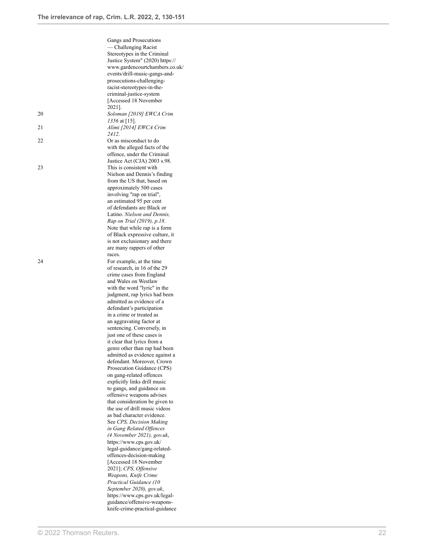<span id="page-21-4"></span><span id="page-21-3"></span><span id="page-21-2"></span><span id="page-21-1"></span><span id="page-21-0"></span>

|    | Gangs and Prosecutions                                       |
|----|--------------------------------------------------------------|
|    | — Challenging Racist                                         |
|    | Stereotypes in the Criminal                                  |
|    | Justice System" (2020) https://                              |
|    | www.gardencourtchambers.co.uk/                               |
|    | events/drill-music-gangs-and-                                |
|    | prosecutions-challenging-                                    |
|    | racist-stereotypes-in-the-                                   |
|    | criminal-justice-system<br>[Accessed 18 November             |
|    | 2021].                                                       |
| 20 | Soloman [2019] EWCA Crim                                     |
|    | 1356 at [15].                                                |
| 21 | Alimi [2014] EWCA Crim                                       |
|    | 2412.                                                        |
| 22 | Or as misconduct to do                                       |
|    | with the alleged facts of the                                |
|    | offence, under the Criminal                                  |
|    | Justice Act (CJA) 2003 s.98.                                 |
| 23 | This is consistent with                                      |
|    | Nielson and Dennis's finding                                 |
|    | from the US that, based on                                   |
|    | approximately 500 cases                                      |
|    | involving "rap on trial",                                    |
|    | an estimated 95 per cent                                     |
|    | of defendants are Black or                                   |
|    | Latino. Nielson and Dennis.                                  |
|    | Rap on Trial (2019), p.18.                                   |
|    | Note that while rap is a form                                |
|    | of Black expressive culture, it                              |
|    | is not exclusionary and there                                |
|    | are many rappers of other                                    |
|    | races.                                                       |
| 24 | For example, at the time                                     |
|    | of research, in 16 of the 29                                 |
|    | crime cases from England                                     |
|    | and Wales on Westlaw                                         |
|    | with the word "lyric" in the                                 |
|    | judgment, rap lyrics had been                                |
|    | admitted as evidence of a                                    |
|    | defendant's participation                                    |
|    | in a crime or treated as                                     |
|    | an aggravating factor at                                     |
|    | sentencing. Conversely, in<br>just one of these cases is     |
|    |                                                              |
|    | it clear that lyrics from a<br>genre other than rap had been |
|    | admitted as evidence against a                               |
|    | defendant. Moreover, Crown                                   |
|    | Prosecution Guidance (CPS)                                   |
|    | on gang-related offences                                     |
|    | explicitly links drill music                                 |
|    | to gangs, and guidance on                                    |
|    | offensive weapons advises                                    |
|    | that consideration be given to                               |
|    | the use of drill music videos                                |
|    | as bad character evidence.                                   |
|    | See CPS, Decision Making                                     |
|    | in Gang Related Offences                                     |
|    | $(4$ November 2021), gov.uk,                                 |
|    | https://www.cps.gov.uk/                                      |
|    | legal-guidance/gang-related-                                 |
|    | offences-decision-making                                     |
|    | [Accessed 18 November]                                       |
|    | 2021]; CPS, Offensive                                        |
|    | Weapons, Knife Crime                                         |
|    | Practical Guidance (10                                       |
|    | September 2020), gov.uk,                                     |
|    | https://www.cps.gov.uk/legal-                                |
|    | guidance/offensive-weapons-                                  |
|    | knife-crime-practical-guidance                               |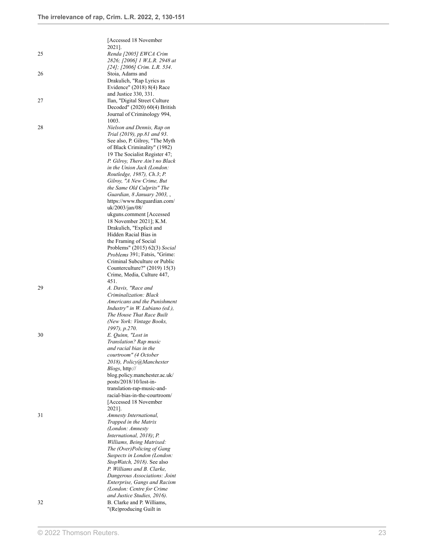<span id="page-22-7"></span><span id="page-22-6"></span><span id="page-22-5"></span><span id="page-22-4"></span><span id="page-22-3"></span><span id="page-22-2"></span><span id="page-22-1"></span><span id="page-22-0"></span>

|    | [Accessed 18 November                                          |
|----|----------------------------------------------------------------|
| 25 | 2021].<br>Renda [2005] EWCA Crim                               |
|    | 2826; [2006] 1 W.L.R. 2948 at                                  |
|    | [24]; [2006] Crim. L.R. 534.                                   |
| 26 | Stoia, Adams and<br>Drakulich, "Rap Lyrics as                  |
|    | Evidence" (2018) 8(4) Race                                     |
|    | and Justice 330, 331.                                          |
| 27 | Ilan, "Digital Street Culture<br>Decoded" (2020) 60(4) British |
|    | Journal of Criminology 994,                                    |
|    | 1003.<br>Nielson and Dennis, Rap on                            |
| 28 | Trial (2019), pp.81 and 93.                                    |
|    | See also, P. Gilroy, "The Myth                                 |
|    | of Black Criminality" (1982)<br>19 The Socialist Register 47;  |
|    | P. Gilroy, There Ain't no Black                                |
|    | in the Union Jack (London:                                     |
|    | Routledge, 1987), Ch.3; P.<br>Gilrov, "A New Crime, But        |
|    | the Same Old Culprits" The                                     |
|    | Guardian, 8 January 2003, ,                                    |
|    | https://www.theguardian.com/<br>uk/2003/jan/08/                |
|    | ukguns.comment [Accessed                                       |
|    | 18 November 2021]; K.M.<br>Drakulich, "Explicit and            |
|    | Hidden Racial Bias in                                          |
|    | the Framing of Social<br>Problems" (2015) 62(3) Social         |
|    | Problems 391; Fatsis, "Grime:                                  |
|    | Criminal Subculture or Public                                  |
|    | Counterculture?" (2019) 15(3)<br>Crime, Media, Culture 447,    |
|    | 451.                                                           |
| 29 | A. Davis, "Race and<br>Criminalization: Black                  |
|    | Americans and the Punishment                                   |
|    | Industry" in W. Lubiano (ed.),                                 |
|    | The House That Race Built<br>(New York: Vintage Books,         |
|    | 1997), p.270.                                                  |
| 30 | E. Quinn, "Lost in                                             |
|    | Translation? Rap music<br>and racial bias in the               |
|    | courtroom" (4 October                                          |
|    | 2018), Policy@Manchester<br><i>Blogs</i> , http://             |
|    | blog.policy.manchester.ac.uk/                                  |
|    | posts/2018/10/lost-in-<br>translation-rap-music-and-           |
|    | racial-bias-in-the-courtroom/                                  |
|    | [Accessed 18 November                                          |
| 31 | 2021].<br>Amnesty International,                               |
|    | Trapped in the Matrix                                          |
|    | (London: Amnesty<br>International, 2018); P.                   |
|    | Williams, Being Matrixed:                                      |
|    | The (Over)Policing of Gang                                     |
|    | Suspects in London (London:<br>StopWatch, 2018). See also      |
|    | P. Williams and B. Clarke,                                     |
|    | Dangerous Associations: Joint<br>Enterprise, Gangs and Racism  |
|    | (London: Centre for Crime                                      |
|    | and Justice Studies, 2016).                                    |
| 32 | B. Clarke and P. Williams,<br>"(Re)producing Guilt in          |
|    |                                                                |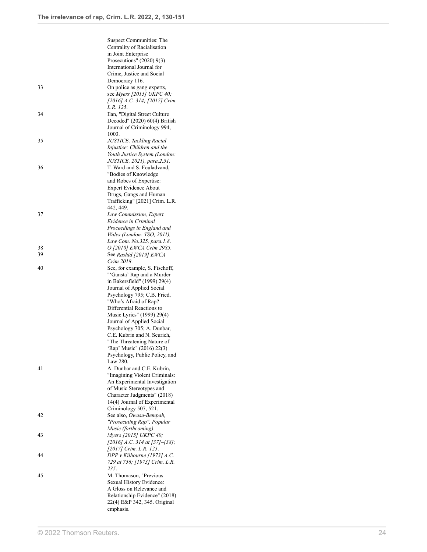<span id="page-23-12"></span><span id="page-23-11"></span><span id="page-23-10"></span><span id="page-23-9"></span><span id="page-23-8"></span><span id="page-23-7"></span><span id="page-23-6"></span><span id="page-23-5"></span><span id="page-23-4"></span><span id="page-23-3"></span><span id="page-23-2"></span><span id="page-23-1"></span><span id="page-23-0"></span>

|    | Suspect Communities: The                      |
|----|-----------------------------------------------|
|    | Centrality of Racialisation                   |
|    | in Joint Enterprise                           |
|    | Prosecutions" $(2020)$ 9(3)                   |
|    | International Journal for                     |
|    | Crime, Justice and Social                     |
|    | Democracy 116.                                |
| 33 | On police as gang experts,                    |
|    | see Myers [2015] UKPC 40;                     |
|    | [2016] A.C. 314; [2017] Crim.                 |
|    | L.R. 125.                                     |
| 34 | Ilan, "Digital Street Culture                 |
|    | Decoded" (2020) 60(4) British                 |
|    | Journal of Criminology 994,<br>1003.          |
| 35 | <b>JUSTICE, Tackling Racial</b>               |
|    | Injustice: Children and the                   |
|    | Youth Justice System (London:                 |
|    | JUSTICE, 2021), para.2.51.                    |
| 36 | T. Ward and S. Fouladvand,                    |
|    | "Bodies of Knowledge                          |
|    | and Robes of Expertise:                       |
|    | <b>Expert Evidence About</b>                  |
|    | Drugs, Gangs and Human                        |
|    | Trafficking" [2021] Crim. L.R.                |
|    | 442, 449.                                     |
| 37 | Law Commission, Expert                        |
|    | Evidence in Criminal                          |
|    | Proceedings in England and                    |
|    | Wales (London: TSO, 2011),                    |
|    | Law Com. No.325, para.1.8.                    |
| 38 | O [2010] EWCA Crim 2985.                      |
| 39 | See Rashid [2019] EWCA                        |
| 40 | Crim 2018.<br>See, for example, S. Fischoff,  |
|    | "'Gansta' Rap and a Murder                    |
|    | in Bakersfield" (1999) 29(4)                  |
|    | Journal of Applied Social                     |
|    | Psychology 795; C.B. Fried,                   |
|    | "Who's Afraid of Rap?                         |
|    | Differential Reactions to                     |
|    | Music Lyrics" (1999) 29(4)                    |
|    | Journal of Applied Social                     |
|    | Psychology 705; A. Dunbar,                    |
|    | C.E. Kubrin and N. Scurich,                   |
|    | "The Threatening Nature of                    |
|    | 'Rap' Music" (2016) 22(3)                     |
|    | Psychology, Public Policy, and                |
|    | Law 280.                                      |
| 41 |                                               |
|    | A. Dunbar and C.E. Kubrin,                    |
|    | "Imagining Violent Criminals:                 |
|    | An Experimental Investigation                 |
|    | of Music Stereotypes and                      |
|    | Character Judgments" (2018)                   |
|    | 14(4) Journal of Experimental                 |
|    | Criminology 507, 521.                         |
| 42 | See also, Owusu-Bempah,                       |
|    | "Prosecuting Rap", Popular                    |
| 43 | Music (forthcoming).<br>Myers [2015] UKPC 40; |
|    | [2016] A.C. 314 at [37]–[38];                 |
|    | [2017] Crim. L.R. 125.                        |
| 44 | DPP v Kilbourne [1973] A.C.                   |
|    | 729 at 756; [1973] Crim. L.R.                 |
|    | 235.                                          |
| 45 | M. Thomason, "Previous                        |
|    | Sexual History Evidence:                      |
|    | A Gloss on Relevance and                      |
|    | Relationship Evidence" (2018)                 |
|    | 22(4) E&P 342, 345. Original<br>emphasis.     |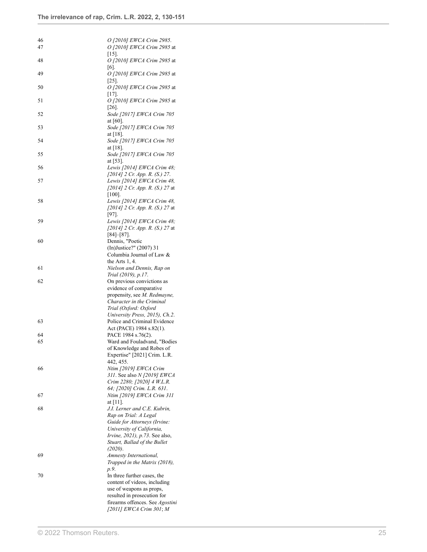<span id="page-24-24"></span><span id="page-24-23"></span><span id="page-24-22"></span><span id="page-24-21"></span><span id="page-24-20"></span><span id="page-24-19"></span><span id="page-24-18"></span><span id="page-24-17"></span><span id="page-24-16"></span><span id="page-24-15"></span><span id="page-24-14"></span><span id="page-24-13"></span><span id="page-24-12"></span><span id="page-24-11"></span><span id="page-24-10"></span><span id="page-24-9"></span><span id="page-24-8"></span><span id="page-24-7"></span><span id="page-24-6"></span><span id="page-24-5"></span><span id="page-24-4"></span><span id="page-24-3"></span><span id="page-24-2"></span><span id="page-24-1"></span><span id="page-24-0"></span>

| 46 | O [2010] EWCA Crim 2985.                                                                       |
|----|------------------------------------------------------------------------------------------------|
| 47 | O [2010] EWCA Crim 2985 at<br>15I.                                                             |
| 48 | O [2010] EWCA Crim 2985 at<br>161.                                                             |
| 49 | O [2010] EWCA Crim 2985 at<br>[25].                                                            |
| 50 | O [2010] EWCA Crim 2985 at<br>1171.                                                            |
| 51 | O [2010] EWCA Crim 2985 at                                                                     |
| 52 | $ 26 $ .<br>Sode [2017] EWCA Crim 705                                                          |
| 53 | at [60].<br>Sode [2017] EWCA Crim 705                                                          |
| 54 | at $[18]$ .<br>Sode [2017] EWCA Crim 705                                                       |
| 55 | at $[18]$ .<br>Sode [2017] EWCA Crim 705                                                       |
| 56 | at $[53]$ .<br>Lewis [2014] EWCA Crim 48;                                                      |
| 57 | [2014] 2 Cr. App. R. (S.) 27.<br>Lewis [2014] EWCA Crim 48,<br>[2014] 2 Cr. App. R. (S.) 27 at |
| 58 | $[100]$ .<br>Lewis [2014] EWCA Crim 48,                                                        |
|    | [2014] 2 Cr. App. R. (S.) 27 at<br>$[97]$ .                                                    |
| 59 | Lewis [2014] EWCA Crim 48;<br>[2014] 2 Cr. App. R. (S.) 27 at                                  |
| 60 | $[84]-[87]$ .<br>Dennis, "Poetic                                                               |
|    | (In)Justice?" (2007) 31<br>Columbia Journal of Law &                                           |
|    | the Arts $1, 4$ .                                                                              |
| 61 | Nielson and Dennis, Rap on<br>Trial (2019), p.17.                                              |
| 62 | On previous convictions as                                                                     |
|    | evidence of comparative                                                                        |
|    | propensity, see <i>M. Redmayne</i> ,                                                           |
|    | Character in the Criminal                                                                      |
|    | Trial (Oxford: Oxford<br>University Press, 2015), Ch.2.                                        |
| 63 | Police and Criminal Evidence                                                                   |
|    | Act (PACE) 1984 s.82(1).                                                                       |
| 64 | PACE 1984 s.76(2).                                                                             |
| 65 | Ward and Fouladvand, "Bodies                                                                   |
|    | of Knowledge and Robes of                                                                      |
|    | Expertise" [2021] Crim. L.R.                                                                   |
|    | 442, 455.                                                                                      |
| 66 | Ntim [2019] EWCA Crim                                                                          |
|    | 311. See also N [2019] EWCA                                                                    |
|    | Crim 2280; [2020] 4 W.L.R.                                                                     |
| 67 | 64; [2020] Crim. L.R. 631.<br>Ntim [2019] EWCA Crim 311                                        |
|    | at $[11]$ .                                                                                    |
| 68 | J.I. Lerner and C.E. Kubrin,                                                                   |
|    | Rap on Trial: A Legal                                                                          |
|    | Guide for Attorneys (Irvine:                                                                   |
|    | University of California,                                                                      |
|    | <i>Irvine, 2021), p.73.</i> See also,                                                          |
|    | Stuart, Ballad of the Bullet                                                                   |
|    | (2020).                                                                                        |
| 69 | Amnesty International,                                                                         |
|    | Trapped in the Matrix (2018),<br>p.9.                                                          |
| 70 | In three further cases, the                                                                    |
|    | content of videos, including                                                                   |
|    | use of weapons as props,                                                                       |
|    | resulted in prosecution for                                                                    |
|    | firearms offences. See <i>Agostini</i>                                                         |
|    | [2011] EWCA Crim 301; M                                                                        |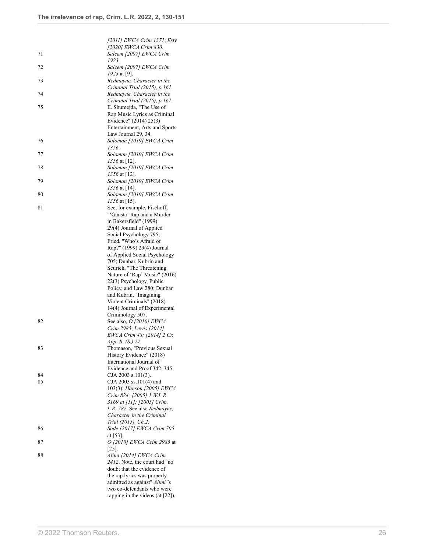<span id="page-25-17"></span><span id="page-25-16"></span><span id="page-25-15"></span><span id="page-25-14"></span><span id="page-25-13"></span><span id="page-25-12"></span><span id="page-25-11"></span><span id="page-25-10"></span><span id="page-25-9"></span><span id="page-25-8"></span><span id="page-25-7"></span><span id="page-25-6"></span><span id="page-25-5"></span><span id="page-25-4"></span><span id="page-25-3"></span><span id="page-25-2"></span><span id="page-25-1"></span><span id="page-25-0"></span>

|    | [2011] EWCA Crim 1371; Esty                                  |
|----|--------------------------------------------------------------|
|    | [2020] EWCA Crim 830.                                        |
| 71 | Saleem [2007] EWCA Crim                                      |
|    | 1923.                                                        |
| 72 | Saleem [2007] EWCA Crim                                      |
| 73 | 1923 at [9].<br>Redmayne, Character in the                   |
|    | Criminal Trial (2015), p.161.                                |
| 74 | Redmayne, Character in the                                   |
|    | Criminal Trial (2015), p.161.                                |
| 75 | E. Shumejda, "The Use of                                     |
|    | Rap Music Lyrics as Criminal                                 |
|    | Evidence" (2014) 25(3)                                       |
|    | Entertainment, Arts and Sports                               |
|    | Law Journal 29, 34.                                          |
| 76 | Soloman [2019] EWCA Crim                                     |
|    | 1356.                                                        |
| 77 | Soloman [2019] EWCA Crim                                     |
| 78 | 1356 at [12].<br>Soloman [2019] EWCA Crim                    |
|    | 1356 at [12].                                                |
| 79 | Soloman [2019] EWCA Crim                                     |
|    | 1356 at [14].                                                |
| 80 | Soloman [2019] EWCA Crim                                     |
|    | 1356 at [15].                                                |
| 81 | See, for example, Fischoff,                                  |
|    | "'Gansta' Rap and a Murder                                   |
|    | in Bakersfield" (1999)                                       |
|    | 29(4) Journal of Applied                                     |
|    | Social Psychology 795;                                       |
|    | Fried, "Who's Afraid of                                      |
|    | Rap?" (1999) 29(4) Journal<br>of Applied Social Psychology   |
|    | 705; Dunbar, Kubrin and                                      |
|    | Scurich, "The Threatening                                    |
|    | Nature of 'Rap' Music" (2016)                                |
|    | 22(3) Psychology, Public                                     |
|    | Policy, and Law 280; Dunbar                                  |
|    | and Kubrin, "Imagining                                       |
|    | Violent Criminals" (2018)                                    |
|    | 14(4) Journal of Experimental                                |
|    | Criminology 507.                                             |
| 82 | See also, O [2010] EWCA                                      |
|    | Crim 2985; Lewis [2014]<br>EWCA Crim 48; [2014] 2 Cr.        |
|    | <i>App. R. (S.) 27.</i>                                      |
| 83 | Thomason, "Previous Sexual                                   |
|    | History Evidence" (2018)                                     |
|    | International Journal of                                     |
|    | Evidence and Proof 342, 345.                                 |
| 84 | $CJA 2003 s.101(3)$ .                                        |
| 85 | $CJA 2003$ ss. 101(4) and                                    |
|    | 103(3); Hanson [2005] EWCA                                   |
|    | Crim 824; [2005] 1 W.L.R.                                    |
|    | 3169 at [11]; [2005] Crim.<br>L.R. 787. See also Redmayne,   |
|    | Character in the Criminal                                    |
|    | Trial (2015), Ch.2.                                          |
| 86 | Sode [2017] EWCA Crim 705                                    |
|    | at $[53]$ .                                                  |
| 87 | O [2010] EWCA Crim 2985 at                                   |
|    | $[25]$ .                                                     |
| 88 | Alimi [2014] EWCA Crim                                       |
|    | 2412. Note, the court had "no                                |
|    | doubt that the evidence of                                   |
|    | the rap lyrics was properly<br>admitted as against" Alimi 's |
|    | two co-defendants who were                                   |
|    | rapping in the videos (at $[22]$ ).                          |
|    |                                                              |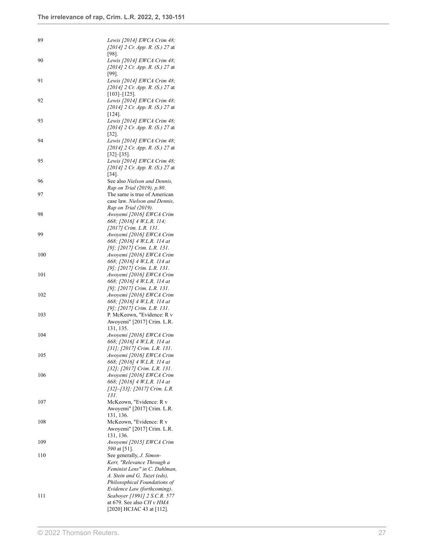<span id="page-26-22"></span><span id="page-26-21"></span><span id="page-26-20"></span><span id="page-26-19"></span><span id="page-26-18"></span><span id="page-26-17"></span><span id="page-26-16"></span><span id="page-26-15"></span><span id="page-26-14"></span><span id="page-26-13"></span><span id="page-26-12"></span><span id="page-26-11"></span><span id="page-26-10"></span><span id="page-26-9"></span><span id="page-26-8"></span><span id="page-26-7"></span><span id="page-26-6"></span><span id="page-26-5"></span><span id="page-26-4"></span><span id="page-26-3"></span><span id="page-26-2"></span><span id="page-26-1"></span><span id="page-26-0"></span>

| 89       | Lewis [2014] EWCA Crim 48;<br>[2014] 2 Cr. App. R. (S.) 27 at<br>1981.                                                |
|----------|-----------------------------------------------------------------------------------------------------------------------|
| 90       | Lewis [2014] EWCA Crim 48;<br>[2014] 2 Cr. App. R. (S.) 27 at<br>[99].                                                |
| 91       | Lewis [2014] EWCA Crim 48;<br>[2014] 2 Cr. App. R. (S.) 27 at<br>$[103]$ - $[125]$ .                                  |
| 92       | Lewis [2014] EWCA Crim 48;<br>[2014] 2 Cr. App. R. (S.) 27 at<br>$[124]$ .                                            |
| 93       | Lewis [2014] EWCA Crim 48;<br>[2014] 2 Cr. App. R. (S.) 27 at<br>$ 32 $ .                                             |
| 94       | Lewis [2014] EWCA Crim 48;<br>[2014] 2 Cr. App. R. (S.) 27 at<br>$[32]-[35]$ .                                        |
| 95       | Lewis [2014] EWCA Crim 48;<br>[2014] 2 Cr. App. R. (S.) 27 at<br>$[34]$ .                                             |
| 96<br>97 | See also Nielson and Dennis,<br>Rap on Trial (2019), p.80.<br>The same is true of American                            |
| 98       | case law. Nielson and Dennis,<br>Rap on Trial (2019).<br>Awoyemi [2016] EWCA Crim<br>668; [2016] 4 W.L.R. 114;        |
| 99       | [2017] Crim. L.R. 131.<br>Awoyemi [2016] EWCA Crim<br>668; [2016] 4 W.L.R. 114 at                                     |
| 100      | [9]; [2017] Crim. L.R. 131.<br>Awoyemi [2016] EWCA Crim<br>668; [2016] 4 W.L.R. 114 at                                |
| 101      | [9]; [2017] Crim. L.R. 131.<br>Awoyemi [2016] EWCA Crim<br>668; [2016] 4 W.L.R. 114 at<br>[9]; [2017] Crim. L.R. 131. |
| 102      | Awoyemi [2016] EWCA Crim<br>668; [2016] 4 W.L.R. 114 at<br>[9]; [2017] Crim. L.R. 131.                                |
| 103      | P. McKeown, "Evidence: R v<br>Awoyemi" [2017] Crim. L.R.<br>131, 135.                                                 |
| 104      | Awoyemi [2016] EWCA Crim<br>668; [2016] 4 W.L.R. 114 at<br>[31]; [2017] Crim. L.R. 131.                               |
| 105      | Awoyemi [2016] EWCA Crim<br>668; [2016] 4 W.L.R. 114 at<br>[32]; [2017] Crim. L.R. 131.                               |
| 106      | Awoyemi [2016] EWCA Crim<br>668; [2016] 4 W.L.R. 114 at<br>[32]-[33]; [2017] Crim. L.R.<br>131.                       |
| 107      | McKeown, "Evidence: R v<br>Awoyemi" [2017] Crim. L.R.<br>131, 136.                                                    |
| 108      | McKeown, "Evidence: R v<br>Awoyemi" [2017] Crim. L.R.<br>131, 136.                                                    |
| 109      | Awoyemi [2015] EWCA Crim<br>590 at [51].                                                                              |
| 110      | See generally, J. Simon-<br>Kerr, "Relevance Through a<br>Feminist Lens" in C. Dahlman,                               |
|          | A. Stein and G. Tuzet (eds),<br>Philosophical Foundations of                                                          |
| 111      | Evidence Law (forthcoming).<br>Seaboyer [1991] 2 S.C.R. 577<br>at 679. See also CH v HMA<br>[2020] HCJAC 43 at [112]. |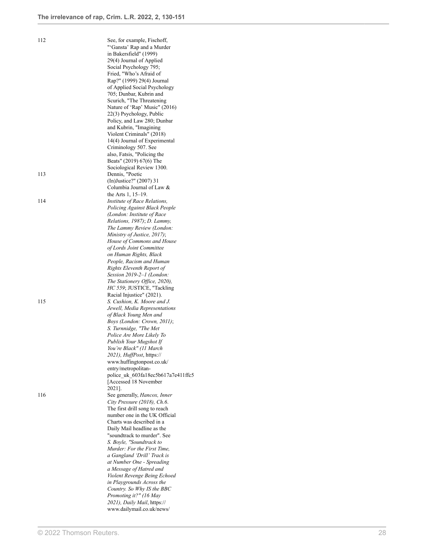<span id="page-27-2"></span><span id="page-27-1"></span><span id="page-27-0"></span>

| 112 | See, for example, Fischoff,         |
|-----|-------------------------------------|
|     | "'Gansta' Rap and a Murder          |
|     | in Bakersfield" (1999)              |
|     | 29(4) Journal of Applied            |
|     | Social Psychology 795;              |
|     | Fried, "Who's Afraid of             |
|     |                                     |
|     | Rap?" (1999) 29(4) Journal          |
|     | of Applied Social Psychology        |
|     | 705; Dunbar, Kubrin and             |
|     | Scurich, "The Threatening           |
|     | Nature of 'Rap' Music" (2016)       |
|     |                                     |
|     | 22(3) Psychology, Public            |
|     | Policy, and Law 280; Dunbar         |
|     | and Kubrin, "Imagining              |
|     | Violent Criminals" (2018)           |
|     | 14(4) Journal of Experimental       |
|     |                                     |
|     | Criminology 507. See                |
|     | also, Fatsis, "Policing the         |
|     | Beats" (2019) 67(6) The             |
|     | Sociological Review 1300.           |
| 113 | Dennis, "Poetic                     |
|     |                                     |
|     | (In)Justice?" (2007) 31             |
|     | Columbia Journal of Law &           |
|     | the Arts 1, 15–19.                  |
| 114 | <i>Institute of Race Relations,</i> |
|     | Policing Against Black People       |
|     | (London: Institute of Race          |
|     |                                     |
|     | Relations, 1987); D. Lammy,         |
|     | The Lammy Review (London:           |
|     | Ministry of Justice, 2017);         |
|     | House of Commons and House          |
|     | of Lords Joint Committee            |
|     | on Human Rights, Black              |
|     |                                     |
|     | People, Racism and Human            |
|     | Rights Eleventh Report of           |
|     | Session 2019-2–1 (London:           |
|     | The Stationery Office, 2020),       |
|     | <i>HC 559</i> ; JUSTICE, "Tackling  |
|     |                                     |
|     | Racial Injustice" (2021).           |
| 115 | S. Cushion, K. Moore and J.         |
|     | Jewell, Media Representations       |
|     | of Black Young Men and              |
|     | Boys (London: Crown, 2011);         |
|     | S. Turnnidge, "The Met              |
|     |                                     |
|     | Police Are More Likely To           |
|     | Publish Your Mugshot If             |
|     | You're Black" (11 March             |
|     | 2021), HuffPost, https://           |
|     | www.huffingtonpost.co.uk/           |
|     | entry/metropolitan-                 |
|     |                                     |
|     | police uk 603fa18ec5b617a7e411ffc5  |
|     | [Accessed 18 November               |
|     | 2021].                              |
| 116 | See generally, Hancox, Inner        |
|     | City Pressure (2018), Ch.6.         |
|     | The first drill song to reach       |
|     |                                     |
|     | number one in the UK Official       |
|     | Charts was described in a           |
|     | Daily Mail headline as the          |
|     | "soundtrack to murder". See         |
|     | S. Boyle, "Soundtrack to            |
|     |                                     |
|     | Murder: For the First Time,         |
|     | a Gangland 'Drill' Track is         |
|     | at Number One - Spreading           |
|     | a Message of Hatred and             |
|     | Violent Revenge Being Echoed        |
|     | in Playgrounds Across the           |
|     |                                     |
|     | Country. So Why IS the BBC          |
|     | Promoting it?" (16 May              |
|     | 2021), Daily Mail, https://         |

<span id="page-27-4"></span><span id="page-27-3"></span>[www.dailymail.co.uk/news/](https://www.dailymail.co.uk/news/article-9585461/Soundtrack-murder-time-gangland-drill-track-Number-One.html )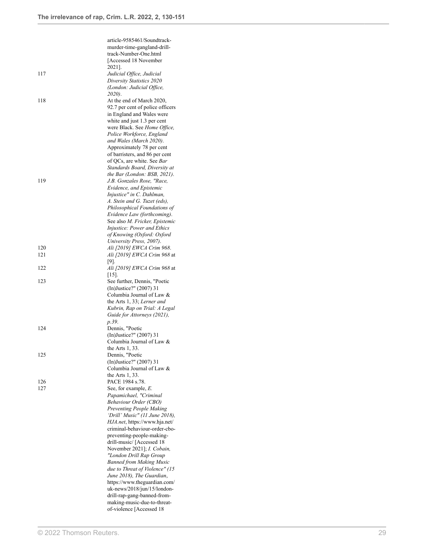<span id="page-28-10"></span><span id="page-28-9"></span><span id="page-28-8"></span><span id="page-28-7"></span><span id="page-28-6"></span><span id="page-28-5"></span><span id="page-28-4"></span><span id="page-28-3"></span><span id="page-28-2"></span><span id="page-28-1"></span><span id="page-28-0"></span>

|     | article-9585461/Soundtrack-                             |  |
|-----|---------------------------------------------------------|--|
|     | murder-time-gangland-drill-                             |  |
|     | track-Number-One.html                                   |  |
|     | [Accessed 18 November                                   |  |
|     | 2021].                                                  |  |
| 117 | Judicial Office, Judicial                               |  |
|     | Diversity Statistics 2020                               |  |
|     | (London: Judicial Office,                               |  |
|     | $2020$ ).                                               |  |
| 118 | At the end of March 2020,                               |  |
|     | 92.7 per cent of police officers                        |  |
|     | in England and Wales were                               |  |
|     | white and just 1.3 per cent                             |  |
|     | were Black. See Home Office,                            |  |
|     | Police Workforce, England                               |  |
|     | and Wales (March 2020).                                 |  |
|     | Approximately 78 per cent                               |  |
|     | of barristers, and 86 per cent                          |  |
|     | of QCs, are white. See Bar                              |  |
|     | Standards Board, Diversity at                           |  |
|     | the Bar (London: BSB, 2021).                            |  |
| 119 | J.B. Gonzales Rose, "Race,                              |  |
|     | Evidence, and Epistemic                                 |  |
|     | Injustice" in C. Dahlman,                               |  |
|     | A. Stein and G. Tuzet (eds),                            |  |
|     | Philosophical Foundations of                            |  |
|     | Evidence Law (forthcoming).                             |  |
|     | See also M. Fricker, Epistemic                          |  |
|     | Injustice: Power and Ethics                             |  |
|     | of Knowing (Oxford: Oxford                              |  |
|     | University Press, 2007).                                |  |
| 120 | Ali [2019] EWCA Crim 968.                               |  |
| 121 | Ali [2019] EWCA Crim 968 at                             |  |
|     | $ 9 $ .                                                 |  |
| 122 | <i>Ali [2019] EWCA Crim 968</i> at                      |  |
|     | $[15]$ .                                                |  |
| 123 | See further, Dennis, "Poetic                            |  |
|     | (In)Justice?" (2007) 31                                 |  |
|     | Columbia Journal of Law &                               |  |
|     | the Arts 1, 33; Lerner and                              |  |
|     | Kubrin, Rap on Trial: A Legal                           |  |
|     | Guide for Attorneys (2021),                             |  |
|     | p.39.                                                   |  |
| 124 | Dennis, "Poetic                                         |  |
|     | (In)Justice?" (2007) 31                                 |  |
|     | Columbia Journal of Law &                               |  |
|     | the Arts $1, 33$ .                                      |  |
| 125 | Dennis, "Poetic                                         |  |
|     | (In)Justice?" (2007) 31                                 |  |
|     | Columbia Journal of Law &                               |  |
|     | the Arts $1, 33$ .                                      |  |
| 126 | PACE 1984 s.78.                                         |  |
| 127 | See, for example, E.                                    |  |
|     | Papamichael, "Criminal                                  |  |
|     | Behaviour Order (CBO)                                   |  |
|     | Preventing People Making                                |  |
|     | 'Drill' Music" (11 June 2018),                          |  |
|     | <i>HJA.net</i> , https://www.hja.net/                   |  |
|     | criminal-behaviour-order-cbo-                           |  |
|     | preventing-people-making-                               |  |
|     | drill-music/ [Accessed 18                               |  |
|     | November 2021]; I. Cobain,                              |  |
|     | "London Drill Rap Group                                 |  |
|     | <b>Banned from Making Music</b>                         |  |
|     | due to Threat of Violence" (15                          |  |
|     | June 2018), The Guardian,                               |  |
|     | https://www.theguardian.com/                            |  |
|     | uk-news/2018/jun/15/london-                             |  |
|     | drill-rap-gang-banned-from-                             |  |
|     | making-music-due-to-threat-<br>of-violence [Accessed 18 |  |
|     |                                                         |  |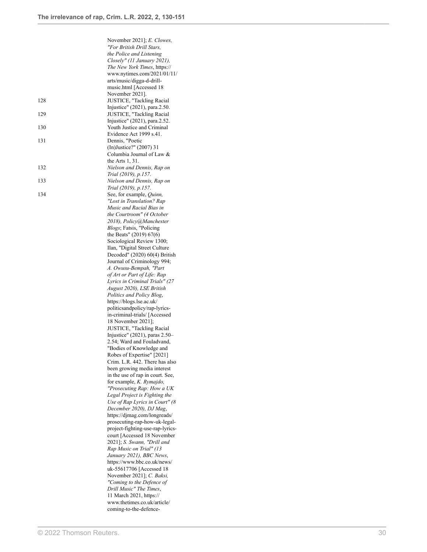<span id="page-29-6"></span><span id="page-29-5"></span><span id="page-29-4"></span><span id="page-29-3"></span><span id="page-29-2"></span><span id="page-29-1"></span><span id="page-29-0"></span>

|     | November 2021]; E. Clowes,                                      |
|-----|-----------------------------------------------------------------|
|     | "For British Drill Stars,                                       |
|     | the Police and Listening                                        |
|     | Closely" (11 January 2021),                                     |
|     | <i>The New York Times, https://</i>                             |
|     | www.nytimes.com/2021/01/11/<br>arts/music/digga-d-drill-        |
|     | music.html [Accessed 18                                         |
|     | November 2021].                                                 |
| 128 | JUSTICE, "Tackling Racial                                       |
|     | Injustice" (2021), para.2.50.                                   |
| 129 | JUSTICE, "Tackling Racial                                       |
|     | Injustice" (2021), para.2.52.                                   |
| 130 | Youth Justice and Criminal                                      |
| 131 | Evidence Act 1999 s.41.                                         |
|     | Dennis, "Poetic<br>(In)Justice?" (2007) 31                      |
|     | Columbia Journal of Law &                                       |
|     | the Arts $1, 31$ .                                              |
| 132 | Nielson and Dennis, Rap on                                      |
|     | Trial (2019), p.157.                                            |
| 133 | Nielson and Dennis, Rap on                                      |
|     | Trial (2019), p.157.                                            |
| 134 | See, for example, <i>Quinn</i> ,                                |
|     | "Lost in Translation? Rap                                       |
|     | Music and Racial Bias in                                        |
|     | the Courtroom" (4 October                                       |
|     | 2018), Policy@Manchester<br><i>Blogs</i> ; Fatsis, "Policing    |
|     | the Beats" (2019) 67(6)                                         |
|     | Sociological Review 1300;                                       |
|     | Ilan, "Digital Street Culture"                                  |
|     | Decoded" $(2020)$ 60(4) British                                 |
|     | Journal of Criminology 994;                                     |
|     | A. Owusu-Bempah, "Part                                          |
|     | of Art or Part of Life: Rap                                     |
|     | Lyrics in Criminal Trials" (27                                  |
|     | August 2020), LSE British                                       |
|     | Politics and Policy Blog,                                       |
|     | https://blogs.lse.ac.uk/<br>politicsandpolicy/rap-lyrics-       |
|     | in-criminal-trials/ [Accessed                                   |
|     | 18 November 2021];                                              |
|     | JUSTICE, "Tackling Racial                                       |
|     | Injustice" (2021), paras 2.50-                                  |
|     | 2.54; Ward and Fouladvand,                                      |
|     | "Bodies of Knowledge and                                        |
|     | Robes of Expertise" [2021]                                      |
|     | Crim. L.R. 442. There has also<br>been growing media interest   |
|     | in the use of rap in court. See,                                |
|     | for example, <i>K. Rymajdo</i> ,                                |
|     | "Prosecuting Rap: How a UK                                      |
|     | Legal Project is Fighting the                                   |
|     | Use of Rap Lyrics in Court" (8                                  |
|     | December 2020), DJ Mag,                                         |
|     | https://djmag.com/longreads/                                    |
|     | prosecuting-rap-how-uk-legal-                                   |
|     | project-fighting-use-rap-lyrics-<br>court [Accessed 18 November |
|     | 2021]; S. Swann, "Drill and                                     |
|     | Rap Music on Trial" (13                                         |
|     | January 2021), BBC News,                                        |
|     | https://www.bbc.co.uk/news/                                     |
|     | uk-55617706 [Accessed 18                                        |
|     | November 2021]; C. Baksi,                                       |
|     | "Coming to the Defence of                                       |
|     | Drill Music" The Times,                                         |
|     | 11 March 2021, https://                                         |
|     | www.thetimes.co.uk/article/                                     |
|     | coming-to-the-defence-                                          |